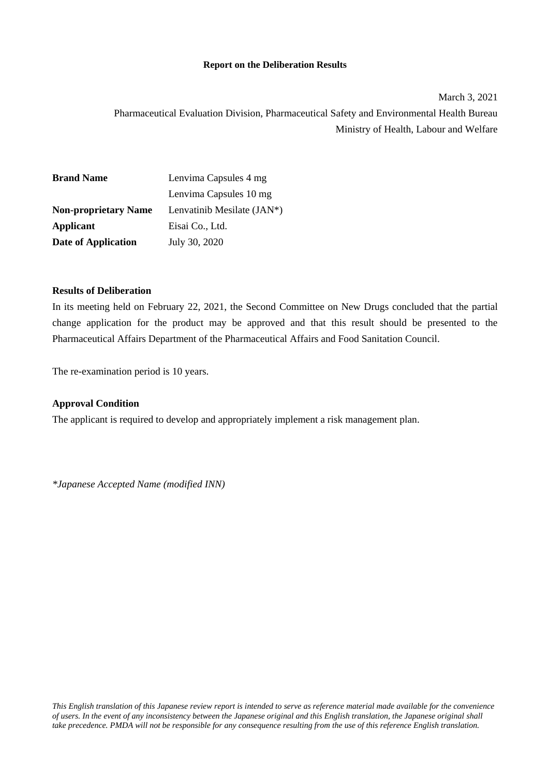### **Report on the Deliberation Results**

March 3, 2021 Pharmaceutical Evaluation Division, Pharmaceutical Safety and Environmental Health Bureau Ministry of Health, Labour and Welfare

| <b>Brand Name</b>           | Lenvima Capsules 4 mg      |  |  |  |
|-----------------------------|----------------------------|--|--|--|
|                             | Lenvima Capsules 10 mg     |  |  |  |
| <b>Non-proprietary Name</b> | Lenvatinib Mesilate (JAN*) |  |  |  |
| Applicant                   | Eisai Co., Ltd.            |  |  |  |
| Date of Application         | July 30, 2020              |  |  |  |

#### **Results of Deliberation**

In its meeting held on February 22, 2021, the Second Committee on New Drugs concluded that the partial change application for the product may be approved and that this result should be presented to the Pharmaceutical Affairs Department of the Pharmaceutical Affairs and Food Sanitation Council.

The re-examination period is 10 years.

### **Approval Condition**

The applicant is required to develop and appropriately implement a risk management plan.

*\*Japanese Accepted Name (modified INN)*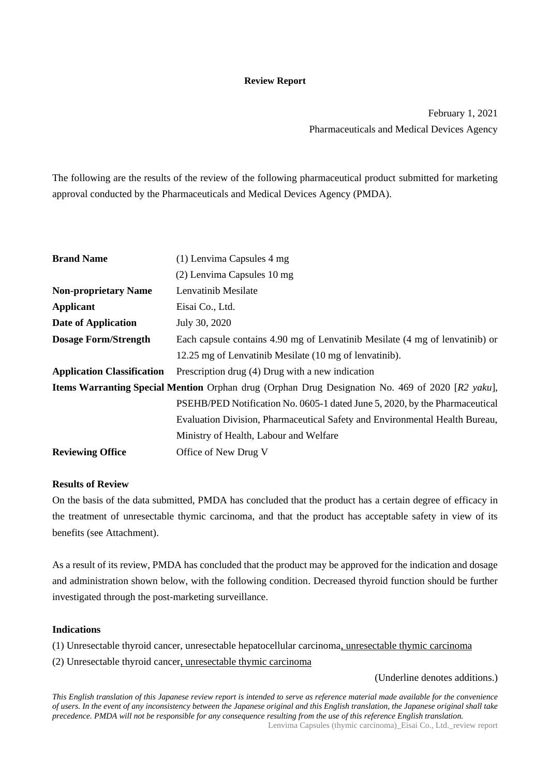#### **Review Report**

February 1, 2021 Pharmaceuticals and Medical Devices Agency

The following are the results of the review of the following pharmaceutical product submitted for marketing approval conducted by the Pharmaceuticals and Medical Devices Agency (PMDA).

| <b>Brand Name</b>                 | (1) Lenvima Capsules 4 mg                                                                               |
|-----------------------------------|---------------------------------------------------------------------------------------------------------|
|                                   | (2) Lenvima Capsules 10 mg                                                                              |
| <b>Non-proprietary Name</b>       | Lenvatinib Mesilate                                                                                     |
| Applicant                         | Eisai Co., Ltd.                                                                                         |
| <b>Date of Application</b>        | July 30, 2020                                                                                           |
| <b>Dosage Form/Strength</b>       | Each capsule contains 4.90 mg of Lenvatinib Mesilate (4 mg of lenvatinib) or                            |
|                                   | 12.25 mg of Lenvatinib Mesilate (10 mg of lenvatinib).                                                  |
| <b>Application Classification</b> | Prescription drug (4) Drug with a new indication                                                        |
|                                   | <b>Items Warranting Special Mention</b> Orphan drug (Orphan Drug Designation No. 469 of 2020 [R2 yaku], |
|                                   | PSEHB/PED Notification No. 0605-1 dated June 5, 2020, by the Pharmaceutical                             |
|                                   | Evaluation Division, Pharmaceutical Safety and Environmental Health Bureau,                             |
|                                   | Ministry of Health, Labour and Welfare                                                                  |
| <b>Reviewing Office</b>           | Office of New Drug V                                                                                    |

### **Results of Review**

On the basis of the data submitted, PMDA has concluded that the product has a certain degree of efficacy in the treatment of unresectable thymic carcinoma, and that the product has acceptable safety in view of its benefits (see Attachment).

As a result of its review, PMDA has concluded that the product may be approved for the indication and dosage and administration shown below, with the following condition. Decreased thyroid function should be further investigated through the post-marketing surveillance.

### **Indications**

(1) Unresectable thyroid cancer, unresectable hepatocellular carcinoma, unresectable thymic carcinoma

(2) Unresectable thyroid cancer, unresectable thymic carcinoma

(Underline denotes additions.)

*This English translation of this Japanese review report is intended to serve as reference material made available for the convenience of users. In the event of any inconsistency between the Japanese original and this English translation, the Japanese original shall take precedence. PMDA will not be responsible for any consequence resulting from the use of this reference English translation.*

Lenvima Capsules (thymic carcinoma)\_Eisai Co., Ltd.\_review report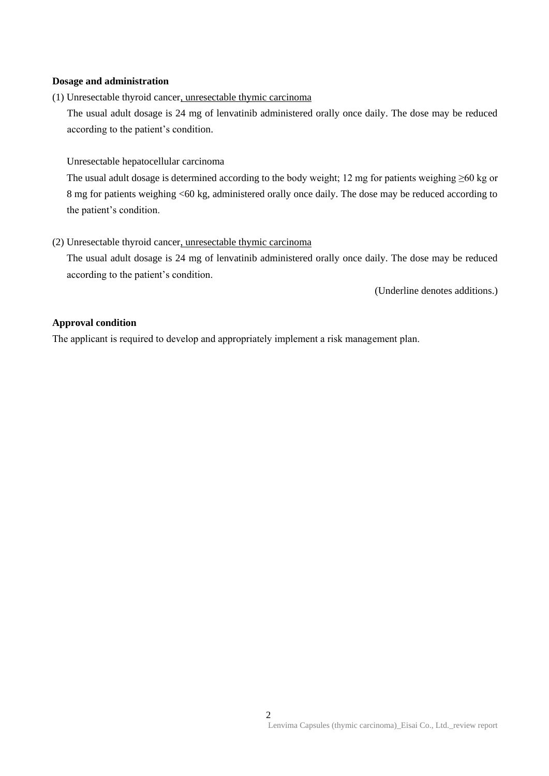### **Dosage and administration**

(1) Unresectable thyroid cancer, unresectable thymic carcinoma

The usual adult dosage is 24 mg of lenvatinib administered orally once daily. The dose may be reduced according to the patient's condition.

### Unresectable hepatocellular carcinoma

The usual adult dosage is determined according to the body weight; 12 mg for patients weighing ≥60 kg or 8 mg for patients weighing <60 kg, administered orally once daily. The dose may be reduced according to the patient's condition.

### (2) Unresectable thyroid cancer, unresectable thymic carcinoma

The usual adult dosage is 24 mg of lenvatinib administered orally once daily. The dose may be reduced according to the patient's condition.

(Underline denotes additions.)

### **Approval condition**

The applicant is required to develop and appropriately implement a risk management plan.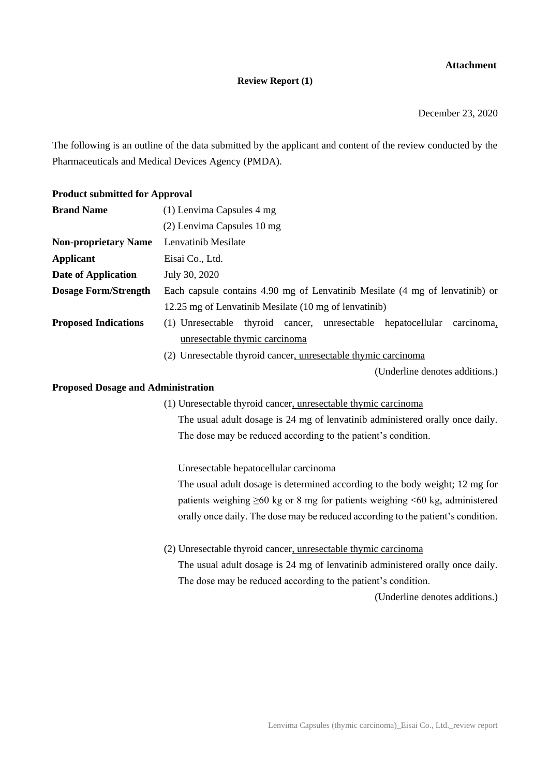### **Attachment**

#### **Review Report (1)**

December 23, 2020

The following is an outline of the data submitted by the applicant and content of the review conducted by the Pharmaceuticals and Medical Devices Agency (PMDA).

# **Product submitted for Approval Brand Name** (1) Lenvima Capsules 4 mg (2) Lenvima Capsules 10 mg **Non-proprietary Name** Lenvatinib Mesilate **Applicant** Eisai Co., Ltd. **Date of Application** July 30, 2020 **Dosage Form/Strength** Each capsule contains 4.90 mg of Lenvatinib Mesilate (4 mg of lenvatinib) or 12.25 mg of Lenvatinib Mesilate (10 mg of lenvatinib) **Proposed Indications** (1) Unresectable thyroid cancer, unresectable hepatocellular carcinoma, unresectable thymic carcinoma (2) Unresectable thyroid cancer, unresectable thymic carcinoma

(Underline denotes additions.)

#### **Proposed Dosage and Administration**

(1) Unresectable thyroid cancer, unresectable thymic carcinoma

The usual adult dosage is 24 mg of lenvatinib administered orally once daily. The dose may be reduced according to the patient's condition.

Unresectable hepatocellular carcinoma

The usual adult dosage is determined according to the body weight; 12 mg for patients weighing  $\geq 60$  kg or 8 mg for patients weighing <60 kg, administered orally once daily. The dose may be reduced according to the patient's condition.

(2) Unresectable thyroid cancer, unresectable thymic carcinoma The usual adult dosage is 24 mg of lenvatinib administered orally once daily. The dose may be reduced according to the patient's condition.

(Underline denotes additions.)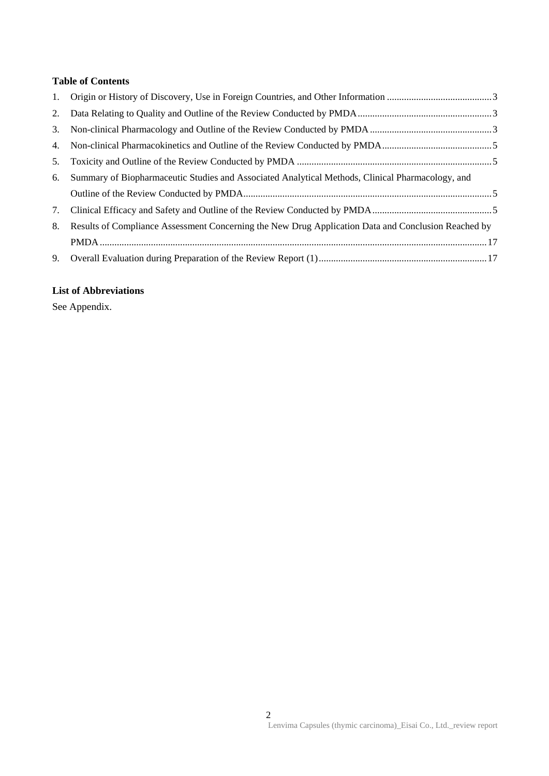# **Table of Contents**

| 5. |                                                                                                     |  |
|----|-----------------------------------------------------------------------------------------------------|--|
| 6. | Summary of Biopharmaceutic Studies and Associated Analytical Methods, Clinical Pharmacology, and    |  |
|    |                                                                                                     |  |
| 7. |                                                                                                     |  |
| 8. | Results of Compliance Assessment Concerning the New Drug Application Data and Conclusion Reached by |  |
|    |                                                                                                     |  |
| 9. |                                                                                                     |  |

## **List of Abbreviations**

See Appendix.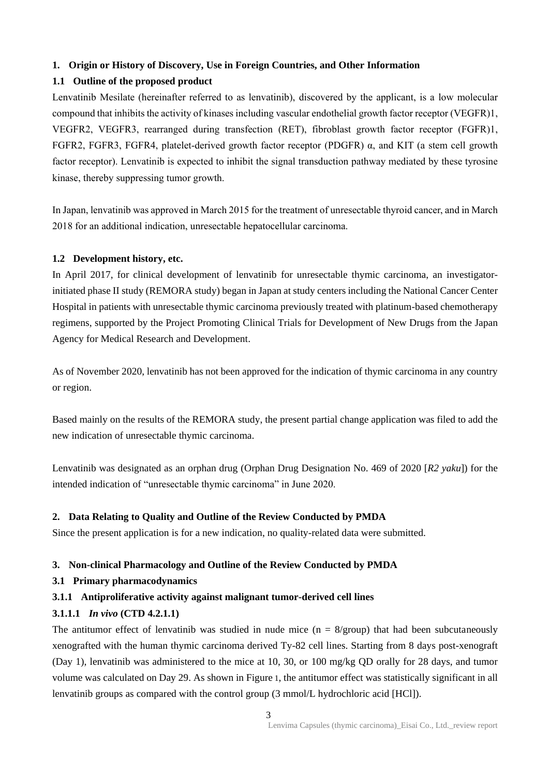### **1. Origin or History of Discovery, Use in Foreign Countries, and Other Information**

### **1.1 Outline of the proposed product**

Lenvatinib Mesilate (hereinafter referred to as lenvatinib), discovered by the applicant, is a low molecular compound that inhibits the activity of kinases including vascular endothelial growth factor receptor (VEGFR)1, VEGFR2, VEGFR3, rearranged during transfection (RET), fibroblast growth factor receptor (FGFR)1, FGFR2, FGFR3, FGFR4, platelet-derived growth factor receptor (PDGFR) α, and KIT (a stem cell growth factor receptor). Lenvatinib is expected to inhibit the signal transduction pathway mediated by these tyrosine kinase, thereby suppressing tumor growth.

In Japan, lenvatinib was approved in March 2015 for the treatment of unresectable thyroid cancer, and in March 2018 for an additional indication, unresectable hepatocellular carcinoma.

### **1.2 Development history, etc.**

In April 2017, for clinical development of lenvatinib for unresectable thymic carcinoma, an investigatorinitiated phase II study (REMORA study) began in Japan at study centers including the National Cancer Center Hospital in patients with unresectable thymic carcinoma previously treated with platinum-based chemotherapy regimens, supported by the Project Promoting Clinical Trials for Development of New Drugs from the Japan Agency for Medical Research and Development.

As of November 2020, lenvatinib has not been approved for the indication of thymic carcinoma in any country or region.

Based mainly on the results of the REMORA study, the present partial change application was filed to add the new indication of unresectable thymic carcinoma.

Lenvatinib was designated as an orphan drug (Orphan Drug Designation No. 469 of 2020 [*R2 yaku*]) for the intended indication of "unresectable thymic carcinoma" in June 2020.

### **2. Data Relating to Quality and Outline of the Review Conducted by PMDA**

Since the present application is for a new indication, no quality-related data were submitted.

### **3. Non-clinical Pharmacology and Outline of the Review Conducted by PMDA**

### **3.1 Primary pharmacodynamics**

### **3.1.1 Antiproliferative activity against malignant tumor-derived cell lines**

### **3.1.1.1** *In vivo* **(CTD 4.2.1.1)**

The antitumor effect of lenvatinib was studied in nude mice  $(n = 8/$ group) that had been subcutaneously xenografted with the human thymic carcinoma derived Ty-82 cell lines. Starting from 8 days post-xenograft (Day 1), lenvatinib was administered to the mice at 10, 30, or 100 mg/kg QD orally for 28 days, and tumor volume was calculated on Day 29. As shown in Figure 1, the antitumor effect was statistically significant in all lenvatinib groups as compared with the control group (3 mmol/L hydrochloric acid [HCl]).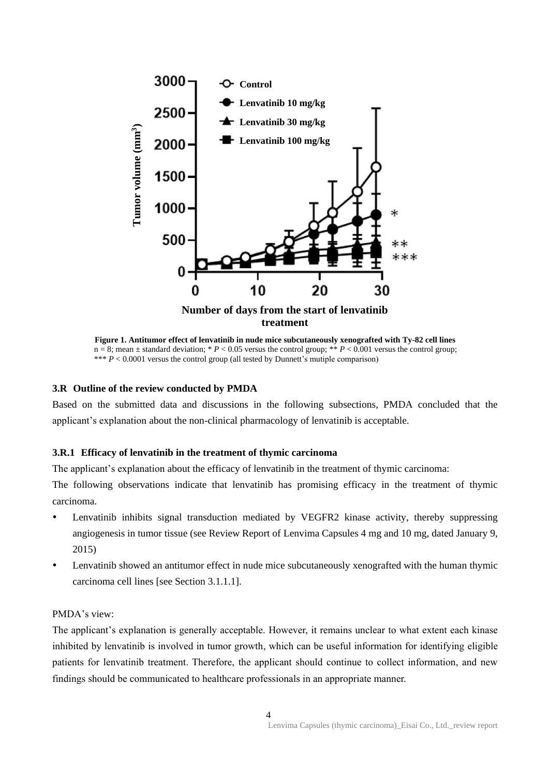

**Figure 1. Antitumor effect of lenvatinib in nude mice subcutaneously xenografted with Ty-82 cell lines**  $n = 8$ ; mean  $\pm$  standard deviation; \* *P* < 0.05 versus the control group; \*\* *P* < 0.001 versus the control group; \*\*\* *P* < 0.0001 versus the control group (all tested by Dunnett's mutiple comparison)

#### **3.R Outline of the review conducted by PMDA**

Based on the submitted data and discussions in the following subsections, PMDA concluded that the applicant's explanation about the non-clinical pharmacology of lenvatinib is acceptable.

#### **3.R.1 Efficacy of lenvatinib in the treatment of thymic carcinoma**

The applicant's explanation about the efficacy of lenvatinib in the treatment of thymic carcinoma:

The following observations indicate that lenvatinib has promising efficacy in the treatment of thymic carcinoma.

- Lenvatinib inhibits signal transduction mediated by VEGFR2 kinase activity, thereby suppressing angiogenesis in tumor tissue (see Review Report of Lenvima Capsules 4 mg and 10 mg, dated January 9, 2015)
- Lenvatinib showed an antitumor effect in nude mice subcutaneously xenografted with the human thymic carcinoma cell lines [see Section 3.1.1.1].

### PMDA's view:

The applicant's explanation is generally acceptable. However, it remains unclear to what extent each kinase inhibited by lenvatinib is involved in tumor growth, which can be useful information for identifying eligible patients for lenvatinib treatment. Therefore, the applicant should continue to collect information, and new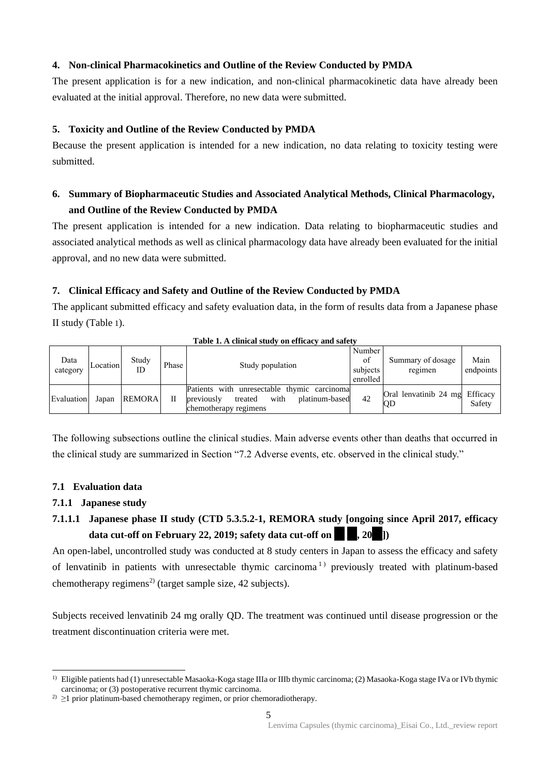### **4. Non-clinical Pharmacokinetics and Outline of the Review Conducted by PMDA**

The present application is for a new indication, and non-clinical pharmacokinetic data have already been evaluated at the initial approval. Therefore, no new data were submitted.

### **5. Toxicity and Outline of the Review Conducted by PMDA**

Because the present application is intended for a new indication, no data relating to toxicity testing were submitted.

# **6. Summary of Biopharmaceutic Studies and Associated Analytical Methods, Clinical Pharmacology, and Outline of the Review Conducted by PMDA**

The present application is intended for a new indication. Data relating to biopharmaceutic studies and associated analytical methods as well as clinical pharmacology data have already been evaluated for the initial approval, and no new data were submitted.

### **7. Clinical Efficacy and Safety and Outline of the Review Conducted by PMDA**

The applicant submitted efficacy and safety evaluation data, in the form of results data from a Japanese phase II study (Table 1).

| Data<br>category | Location | Study<br>ID   | Phase | Study population                                                                                                         | Number<br>of<br>subjects<br>enrolled | Summary of dosage<br>regimen         | Main<br>endpoints |
|------------------|----------|---------------|-------|--------------------------------------------------------------------------------------------------------------------------|--------------------------------------|--------------------------------------|-------------------|
| Evaluation       | Japan    | <b>REMORA</b> | Н     | Patients with unresectable thymic carcinomal<br>platinum-based<br>previously<br>with<br>treated<br>chemotherapy regimens | 42                                   | Oral lenvatinib 24 mg Efficacy<br>QD | Safety            |

#### **Table 1. A clinical study on efficacy and safety**

The following subsections outline the clinical studies. Main adverse events other than deaths that occurred in the clinical study are summarized in Section "7.2 Adverse events, etc. observed in the clinical study."

### **7.1 Evaluation data**

### **7.1.1 Japanese study**

# **7.1.1.1 Japanese phase II study (CTD 5.3.5.2-1, REMORA study [ongoing since April 2017, efficacy data cut-off on February 22, 2019; safety data cut-off on \*\* \*\*, 20\*\*])**

An open-label, uncontrolled study was conducted at 8 study centers in Japan to assess the efficacy and safety of lenvatinib in patients with unresectable thymic carcinoma<sup>1</sup> previously treated with platinum-based chemotherapy regimens<sup>2)</sup> (target sample size, 42 subjects).

Subjects received lenvatinib 24 mg orally QD. The treatment was continued until disease progression or the treatment discontinuation criteria were met.

 $\overline{a}$ <sup>1)</sup> Eligible patients had (1) unresectable Masaoka-Koga stage IIIa or IIIb thymic carcinoma; (2) Masaoka-Koga stage IVa or IVb thymic carcinoma; or (3) postoperative recurrent thymic carcinoma.

<sup>&</sup>lt;sup>2)</sup>  $\geq$ 1 prior platinum-based chemotherapy regimen, or prior chemoradiotherapy.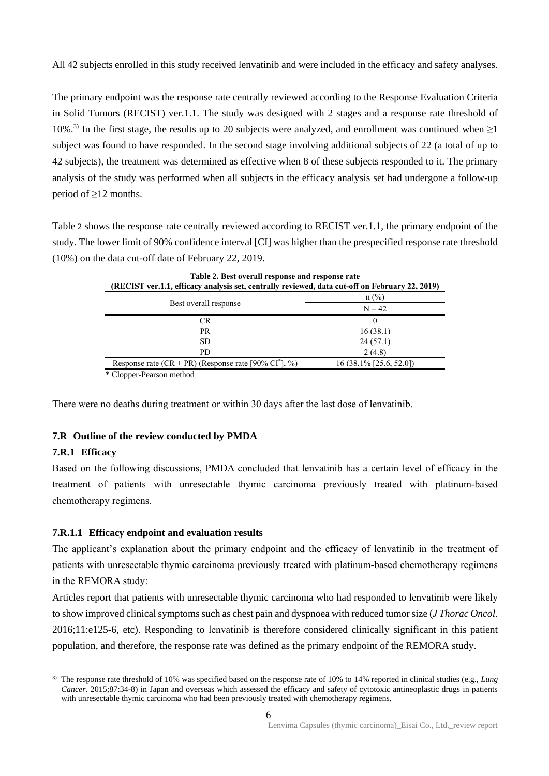All 42 subjects enrolled in this study received lenvatinib and were included in the efficacy and safety analyses.

The primary endpoint was the response rate centrally reviewed according to the Response Evaluation Criteria in Solid Tumors (RECIST) ver.1.1. The study was designed with 2 stages and a response rate threshold of 10%.<sup>3)</sup> In the first stage, the results up to 20 subjects were analyzed, and enrollment was continued when  $\geq$ 1 subject was found to have responded. In the second stage involving additional subjects of 22 (a total of up to 42 subjects), the treatment was determined as effective when 8 of these subjects responded to it. The primary analysis of the study was performed when all subjects in the efficacy analysis set had undergone a follow-up period of ≥12 months.

Table 2 shows the response rate centrally reviewed according to RECIST ver.1.1, the primary endpoint of the study. The lower limit of 90% confidence interval [CI] was higher than the prespecified response rate threshold (10%) on the data cut-off date of February 22, 2019.

| Table 2. Best overall response and response rate<br>(RECIST ver.1.1, efficacy analysis set, centrally reviewed, data cut-off on February 22, 2019) |                           |  |  |  |  |
|----------------------------------------------------------------------------------------------------------------------------------------------------|---------------------------|--|--|--|--|
| $n$ (%)                                                                                                                                            |                           |  |  |  |  |
| Best overall response                                                                                                                              | $N = 42$                  |  |  |  |  |
| <b>CR</b>                                                                                                                                          | $\Omega$                  |  |  |  |  |
| <b>PR</b>                                                                                                                                          | 16(38.1)                  |  |  |  |  |
| SD.                                                                                                                                                | 24(57.1)                  |  |  |  |  |
| PD.                                                                                                                                                | 2(4.8)                    |  |  |  |  |
| Response rate $(CR + PR)$ (Response rate [90% $CI^*$ ], %)                                                                                         | $16(38.1\%$ [25.6, 52.0]) |  |  |  |  |
| $\sim$ $\sim$ 1<br>$\mathbf{D}$ and $\mathbf{D}$ and $\mathbf{D}$ and $\mathbf{D}$                                                                 |                           |  |  |  |  |

\* Clopper-Pearson method

There were no deaths during treatment or within 30 days after the last dose of lenvatinib.

### **7.R Outline of the review conducted by PMDA**

### **7.R.1 Efficacy**

Based on the following discussions, PMDA concluded that lenvatinib has a certain level of efficacy in the treatment of patients with unresectable thymic carcinoma previously treated with platinum-based chemotherapy regimens.

### **7.R.1.1 Efficacy endpoint and evaluation results**

The applicant's explanation about the primary endpoint and the efficacy of lenvatinib in the treatment of patients with unresectable thymic carcinoma previously treated with platinum-based chemotherapy regimens in the REMORA study:

Articles report that patients with unresectable thymic carcinoma who had responded to lenvatinib were likely to show improved clinical symptoms such as chest pain and dyspnoea with reduced tumor size (*J Thorac Oncol.* 2016;11:e125-6, etc). Responding to lenvatinib is therefore considered clinically significant in this patient population, and therefore, the response rate was defined as the primary endpoint of the REMORA study.

 $\overline{a}$ 3) The response rate threshold of 10% was specified based on the response rate of 10% to 14% reported in clinical studies (e.g., *Lung Cancer.* 2015;87:34-8) in Japan and overseas which assessed the efficacy and safety of cytotoxic antineoplastic drugs in patients with unresectable thymic carcinoma who had been previously treated with chemotherapy regimens.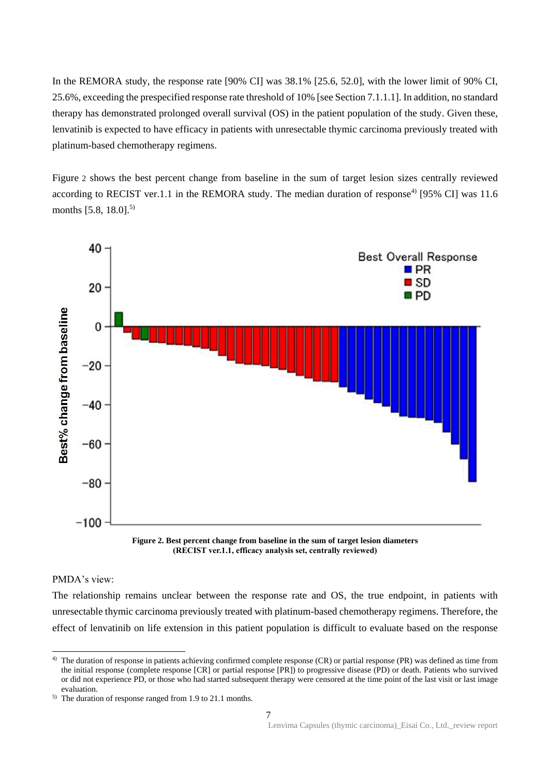In the REMORA study, the response rate [90% CI] was  $38.1\%$  [25.6, 52.0], with the lower limit of 90% CI, 25.6%, exceeding the prespecified response rate threshold of 10% [see Section 7.1.1.1]. In addition, no standard therapy has demonstrated prolonged overall survival (OS) in the patient population of the study. Given these, lenvatinib is expected to have efficacy in patients with unresectable thymic carcinoma previously treated with platinum-based chemotherapy regimens.

Figure 2 shows the best percent change from baseline in the sum of target lesion sizes centrally reviewed according to RECIST ver.1.1 in the REMORA study. The median duration of response<sup>4)</sup> [95% CI] was 11.6 months [5.8, 18.0].<sup>5)</sup>



**Figure 2. Best percent change from baseline in the sum of target lesion diameters (RECIST ver.1.1, efficacy analysis set, centrally reviewed)**

### PMDA's view:

 $\overline{a}$ 

The relationship remains unclear between the response rate and OS, the true endpoint, in patients with unresectable thymic carcinoma previously treated with platinum-based chemotherapy regimens. Therefore, the effect of lenvatinib on life extension in this patient population is difficult to evaluate based on the response

<sup>&</sup>lt;sup>4)</sup> The duration of response in patients achieving confirmed complete response (CR) or partial response (PR) was defined as time from the initial response (complete response [CR] or partial response [PR]) to progressive disease (PD) or death. Patients who survived or did not experience PD, or those who had started subsequent therapy were censored at the time point of the last visit or last image evaluation.

<sup>5)</sup> The duration of response ranged from 1.9 to 21.1 months.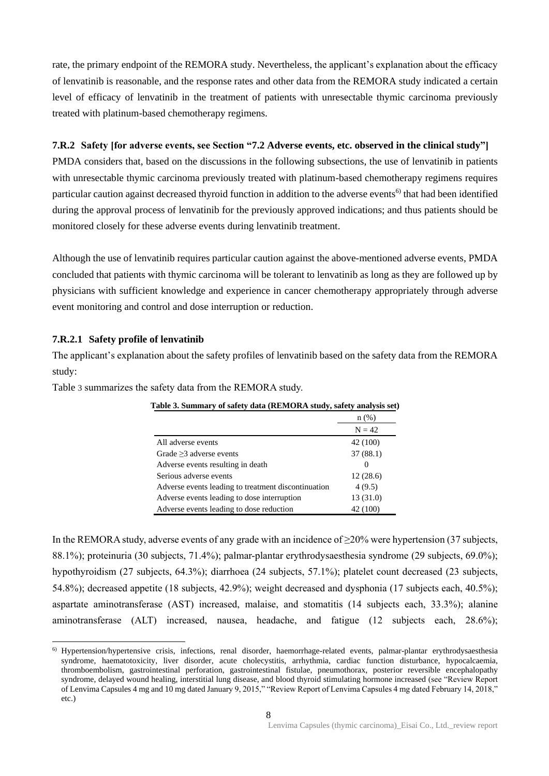rate, the primary endpoint of the REMORA study. Nevertheless, the applicant's explanation about the efficacy of lenvatinib is reasonable, and the response rates and other data from the REMORA study indicated a certain level of efficacy of lenvatinib in the treatment of patients with unresectable thymic carcinoma previously treated with platinum-based chemotherapy regimens.

### **7.R.2 Safety [for adverse events, see Section "7.2 Adverse events, etc. observed in the clinical study"]**

PMDA considers that, based on the discussions in the following subsections, the use of lenvatinib in patients with unresectable thymic carcinoma previously treated with platinum-based chemotherapy regimens requires particular caution against decreased thyroid function in addition to the adverse events<sup>6)</sup> that had been identified during the approval process of lenvatinib for the previously approved indications; and thus patients should be monitored closely for these adverse events during lenvatinib treatment.

Although the use of lenvatinib requires particular caution against the above-mentioned adverse events, PMDA concluded that patients with thymic carcinoma will be tolerant to lenvatinib as long as they are followed up by physicians with sufficient knowledge and experience in cancer chemotherapy appropriately through adverse event monitoring and control and dose interruption or reduction.

#### **7.R.2.1 Safety profile of lenvatinib**

 $\overline{a}$ 

The applicant's explanation about the safety profiles of lenvatinib based on the safety data from the REMORA study:

Table 3 summarizes the safety data from the REMORA study.

|                                                     | $n(\%)$   |
|-----------------------------------------------------|-----------|
|                                                     | $N = 42$  |
| All adverse events                                  | 42 (100)  |
| Grade $\geq$ 3 adverse events                       | 37(88.1)  |
| Adverse events resulting in death                   | $\theta$  |
| Serious adverse events                              | 12(28.6)  |
| Adverse events leading to treatment discontinuation | 4(9.5)    |
| Adverse events leading to dose interruption         | 13 (31.0) |
| Adverse events leading to dose reduction            | 42 (100)  |

**Table 3. Summary of safety data (REMORA study, safety analysis set)**

In the REMORA study, adverse events of any grade with an incidence of ≥20% were hypertension (37 subjects, 88.1%); proteinuria (30 subjects, 71.4%); palmar-plantar erythrodysaesthesia syndrome (29 subjects, 69.0%); hypothyroidism (27 subjects, 64.3%); diarrhoea (24 subjects, 57.1%); platelet count decreased (23 subjects, 54.8%); decreased appetite (18 subjects, 42.9%); weight decreased and dysphonia (17 subjects each, 40.5%); aspartate aminotransferase (AST) increased, malaise, and stomatitis (14 subjects each, 33.3%); alanine aminotransferase (ALT) increased, nausea, headache, and fatigue (12 subjects each, 28.6%);

<sup>6)</sup> Hypertension/hypertensive crisis, infections, renal disorder, haemorrhage-related events, palmar-plantar erythrodysaesthesia syndrome, haematotoxicity, liver disorder, acute cholecystitis, arrhythmia, cardiac function disturbance, hypocalcaemia, thromboembolism, gastrointestinal perforation, gastrointestinal fistulae, pneumothorax, posterior reversible encephalopathy syndrome, delayed wound healing, interstitial lung disease, and blood thyroid stimulating hormone increased (see "Review Report of Lenvima Capsules 4 mg and 10 mg dated January 9, 2015," "Review Report of Lenvima Capsules 4 mg dated February 14, 2018," etc.)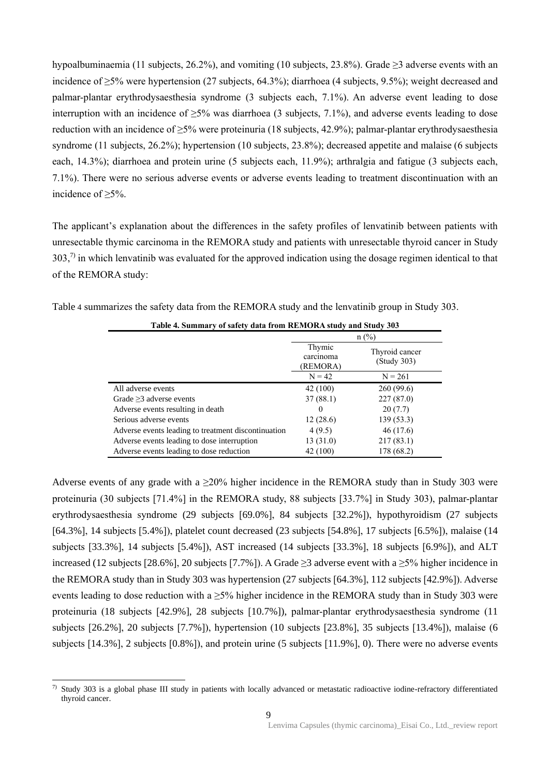hypoalbuminaemia (11 subjects, 26.2%), and vomiting (10 subjects, 23.8%). Grade ≥3 adverse events with an incidence of ≥5% were hypertension (27 subjects, 64.3%); diarrhoea (4 subjects, 9.5%); weight decreased and palmar-plantar erythrodysaesthesia syndrome (3 subjects each, 7.1%). An adverse event leading to dose interruption with an incidence of ≥5% was diarrhoea (3 subjects, 7.1%), and adverse events leading to dose reduction with an incidence of ≥5% were proteinuria (18 subjects, 42.9%); palmar-plantar erythrodysaesthesia syndrome (11 subjects, 26.2%); hypertension (10 subjects, 23.8%); decreased appetite and malaise (6 subjects each, 14.3%); diarrhoea and protein urine (5 subjects each, 11.9%); arthralgia and fatigue (3 subjects each, 7.1%). There were no serious adverse events or adverse events leading to treatment discontinuation with an incidence of ≥5%.

The applicant's explanation about the differences in the safety profiles of lenvatinib between patients with unresectable thymic carcinoma in the REMORA study and patients with unresectable thyroid cancer in Study 303,<sup>7)</sup> in which lenvatinib was evaluated for the approved indication using the dosage regimen identical to that of the REMORA study:

| Table 4 summarizes the safety data from the REMORA study and the lenvatinib group in Study 303. |  |  |  |
|-------------------------------------------------------------------------------------------------|--|--|--|
|                                                                                                 |  |  |  |

| Table 4. Summary of safety data from REMORA study and Study 303 |                                 |                               |  |  |  |
|-----------------------------------------------------------------|---------------------------------|-------------------------------|--|--|--|
|                                                                 | $n$ (%)                         |                               |  |  |  |
|                                                                 | Thymic<br>carcinoma<br>(REMORA) | Thyroid cancer<br>(Study 303) |  |  |  |
|                                                                 | $N = 42$                        | $N = 261$                     |  |  |  |
| All adverse events                                              | 42 (100)                        | 260(99.6)                     |  |  |  |
| Grade $\geq$ 3 adverse events                                   | 37(88.1)                        | 227(87.0)                     |  |  |  |
| Adverse events resulting in death                               | 0                               | 20(7.7)                       |  |  |  |
| Serious adverse events                                          | 12(28.6)                        | 139(53.3)                     |  |  |  |
| Adverse events leading to treatment discontinuation             | 4(9.5)                          | 46 (17.6)                     |  |  |  |
| Adverse events leading to dose interruption                     | 13(31.0)                        | 217(83.1)                     |  |  |  |
| Adverse events leading to dose reduction                        | 42 (100)                        | 178 (68.2)                    |  |  |  |

Adverse events of any grade with a ≥20% higher incidence in the REMORA study than in Study 303 were proteinuria (30 subjects [71.4%] in the REMORA study, 88 subjects [33.7%] in Study 303), palmar-plantar erythrodysaesthesia syndrome (29 subjects [69.0%], 84 subjects [32.2%]), hypothyroidism (27 subjects [64.3%], 14 subjects [5.4%]), platelet count decreased (23 subjects [54.8%], 17 subjects [6.5%]), malaise (14 subjects [33.3%], 14 subjects [5.4%]), AST increased (14 subjects [33.3%], 18 subjects [6.9%]), and ALT increased (12 subjects [28.6%], 20 subjects [7.7%]). A Grade ≥3 adverse event with a ≥5% higher incidence in the REMORA study than in Study 303 was hypertension (27 subjects [64.3%], 112 subjects [42.9%]). Adverse events leading to dose reduction with a  $\geq$ 5% higher incidence in the REMORA study than in Study 303 were proteinuria (18 subjects [42.9%], 28 subjects [10.7%]), palmar-plantar erythrodysaesthesia syndrome (11 subjects [26.2%], 20 subjects [7.7%]), hypertension (10 subjects [23.8%], 35 subjects [13.4%]), malaise (6 subjects [14.3%], 2 subjects [0.8%]), and protein urine (5 subjects [11.9%], 0). There were no adverse events

 $\overline{a}$ 

 $7)$  Study 303 is a global phase III study in patients with locally advanced or metastatic radioactive iodine-refractory differentiated thyroid cancer.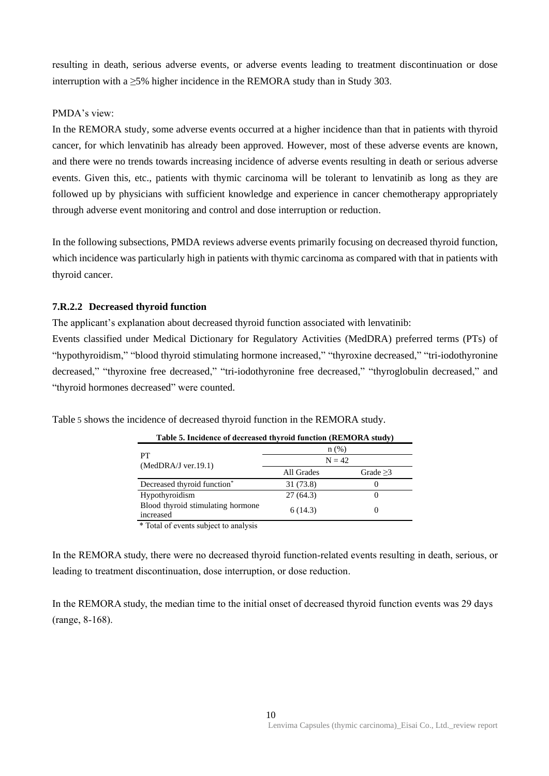resulting in death, serious adverse events, or adverse events leading to treatment discontinuation or dose interruption with a  $\geq$ 5% higher incidence in the REMORA study than in Study 303.

### PMDA's view:

In the REMORA study, some adverse events occurred at a higher incidence than that in patients with thyroid cancer, for which lenvatinib has already been approved. However, most of these adverse events are known, and there were no trends towards increasing incidence of adverse events resulting in death or serious adverse events. Given this, etc., patients with thymic carcinoma will be tolerant to lenvatinib as long as they are followed up by physicians with sufficient knowledge and experience in cancer chemotherapy appropriately through adverse event monitoring and control and dose interruption or reduction.

In the following subsections, PMDA reviews adverse events primarily focusing on decreased thyroid function, which incidence was particularly high in patients with thymic carcinoma as compared with that in patients with thyroid cancer.

### **7.R.2.2 Decreased thyroid function**

The applicant's explanation about decreased thyroid function associated with lenvatinib:

Events classified under Medical Dictionary for Regulatory Activities (MedDRA) preferred terms (PTs) of "hypothyroidism," "blood thyroid stimulating hormone increased," "thyroxine decreased," "tri-iodothyronine decreased," "thyroxine free decreased," "tri-iodothyronine free decreased," "thyroglobulin decreased," and "thyroid hormones decreased" were counted.

| Table 5. Incidence of decreased thyroid function (REMORA study) |            |                |  |  |  |
|-----------------------------------------------------------------|------------|----------------|--|--|--|
|                                                                 | $n$ (%)    |                |  |  |  |
| PТ<br>$(MedDRA/J$ ver.19.1)                                     | $N = 42$   |                |  |  |  |
|                                                                 | All Grades | Grade $\geq$ 3 |  |  |  |
| Decreased thyroid function <sup>*</sup>                         | 31 (73.8)  |                |  |  |  |
| Hypothyroidism                                                  | 27(64.3)   | O              |  |  |  |
| Blood thyroid stimulating hormone<br>increased                  | 6(14.3)    | $\theta$       |  |  |  |

Table 5 shows the incidence of decreased thyroid function in the REMORA study.

\* Total of events subject to analysis

In the REMORA study, there were no decreased thyroid function-related events resulting in death, serious, or leading to treatment discontinuation, dose interruption, or dose reduction.

In the REMORA study, the median time to the initial onset of decreased thyroid function events was 29 days (range, 8-168).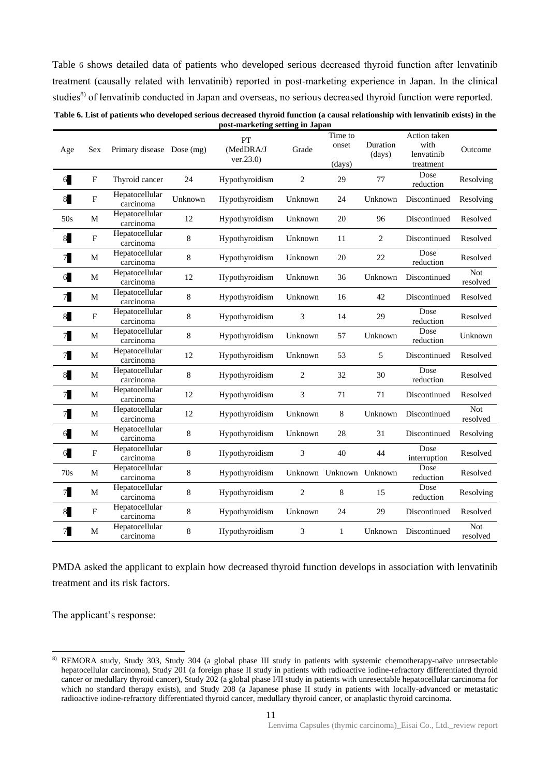Table 6 shows detailed data of patients who developed serious decreased thyroid function after lenvatinib treatment (causally related with lenvatinib) reported in post-marketing experience in Japan. In the clinical studies<sup>8)</sup> of lenvatinib conducted in Japan and overseas, no serious decreased thyroid function were reported.

| Table 6. List of patients who developed serious decreased thyroid function (a causal relationship with lenvatinib exists) in the |  |
|----------------------------------------------------------------------------------------------------------------------------------|--|
| post-marketing setting in Japan                                                                                                  |  |

| Age            | Sex                       | Primary disease Dose (mg)   |             | PT<br>(MedDRA/J<br>ver.23.0) | Grade          | Time to<br>onset<br>(days) | Duration<br>(days) | Action taken<br>with<br>lenvatinib<br>treatment | Outcome                |
|----------------|---------------------------|-----------------------------|-------------|------------------------------|----------------|----------------------------|--------------------|-------------------------------------------------|------------------------|
| 6              | $\mathbf F$               | Thyroid cancer              | 24          | Hypothyroidism               | $\overline{2}$ | 29                         | 77                 | Dose<br>reduction                               | Resolving              |
| 8              | $\boldsymbol{\mathrm{F}}$ | Hepatocellular<br>carcinoma | Unknown     | Hypothyroidism               | Unknown        | 24                         | Unknown            | Discontinued                                    | Resolving              |
| 50s            | M                         | Hepatocellular<br>carcinoma | 12          | Hypothyroidism               | Unknown        | 20                         | 96                 | Discontinued                                    | Resolved               |
| 8              | $\mathbf{F}$              | Hepatocellular<br>carcinoma | 8           | Hypothyroidism               | Unknown        | 11                         | $\overline{c}$     | Discontinued                                    | Resolved               |
| 7 <sub>1</sub> | $\mathbf M$               | Hepatocellular<br>carcinoma | 8           | Hypothyroidism               | Unknown        | 20                         | 22                 | Dose<br>reduction                               | Resolved               |
| 6              | $\mathbf M$               | Hepatocellular<br>carcinoma | 12          | Hypothyroidism               | Unknown        | 36                         | Unknown            | Discontinued                                    | <b>Not</b><br>resolved |
| 7 <sub>1</sub> | M                         | Hepatocellular<br>carcinoma | $\,8\,$     | Hypothyroidism               | Unknown        | 16                         | 42                 | Discontinued                                    | Resolved               |
| 8              | $\mathbf{F}$              | Hepatocellular<br>carcinoma | $\,8\,$     | Hypothyroidism               | 3              | 14                         | 29                 | Dose<br>reduction                               | Resolved               |
| 7 <sub>1</sub> | M                         | Hepatocellular<br>carcinoma | 8           | Hypothyroidism               | Unknown        | 57                         | Unknown            | Dose<br>reduction                               | Unknown                |
| 7              | $\mathbf M$               | Hepatocellular<br>carcinoma | 12          | Hypothyroidism               | Unknown        | 53                         | 5                  | Discontinued                                    | Resolved               |
| 8              | M                         | Hepatocellular<br>carcinoma | 8           | Hypothyroidism               | 2              | 32                         | 30                 | Dose<br>reduction                               | Resolved               |
| 7 <sub>1</sub> | $\mathbf M$               | Hepatocellular<br>carcinoma | 12          | Hypothyroidism               | 3              | 71                         | 71                 | Discontinued                                    | Resolved               |
| 7 <sub>1</sub> | M                         | Hepatocellular<br>carcinoma | 12          | Hypothyroidism               | Unknown        | 8                          | Unknown            | Discontinued                                    | <b>Not</b><br>resolved |
| 6              | M                         | Hepatocellular<br>carcinoma | $\,$ 8 $\,$ | Hypothyroidism               | Unknown        | 28                         | 31                 | Discontinued                                    | Resolving              |
| 6              | $\overline{F}$            | Hepatocellular<br>carcinoma | 8           | Hypothyroidism               | 3              | 40                         | 44                 | Dose<br>interruption                            | Resolved               |
| 70s            | M                         | Hepatocellular<br>carcinoma | $\,8\,$     | Hypothyroidism               | Unknown        | Unknown                    | Unknown            | Dose<br>reduction                               | Resolved               |
| 7              | M                         | Hepatocellular<br>carcinoma | $\,8\,$     | Hypothyroidism               | 2              | 8                          | 15                 | Dose<br>reduction                               | Resolving              |
| 8              | $\mathbf{F}$              | Hepatocellular<br>carcinoma | $\,8\,$     | Hypothyroidism               | Unknown        | 24                         | 29                 | Discontinued                                    | Resolved               |
| 7              | M                         | Hepatocellular<br>carcinoma | 8           | Hypothyroidism               | 3              | 1                          | Unknown            | Discontinued                                    | Not<br>resolved        |

PMDA asked the applicant to explain how decreased thyroid function develops in association with lenvatinib treatment and its risk factors.

The applicant's response:

 $\overline{a}$ 

<sup>8)</sup> REMORA study, Study 303, Study 304 (a global phase III study in patients with systemic chemotherapy-naïve unresectable hepatocellular carcinoma), Study 201 (a foreign phase II study in patients with radioactive iodine-refractory differentiated thyroid cancer or medullary thyroid cancer), Study 202 (a global phase I/II study in patients with unresectable hepatocellular carcinoma for which no standard therapy exists), and Study 208 (a Japanese phase II study in patients with locally-advanced or metastatic radioactive iodine-refractory differentiated thyroid cancer, medullary thyroid cancer, or anaplastic thyroid carcinoma.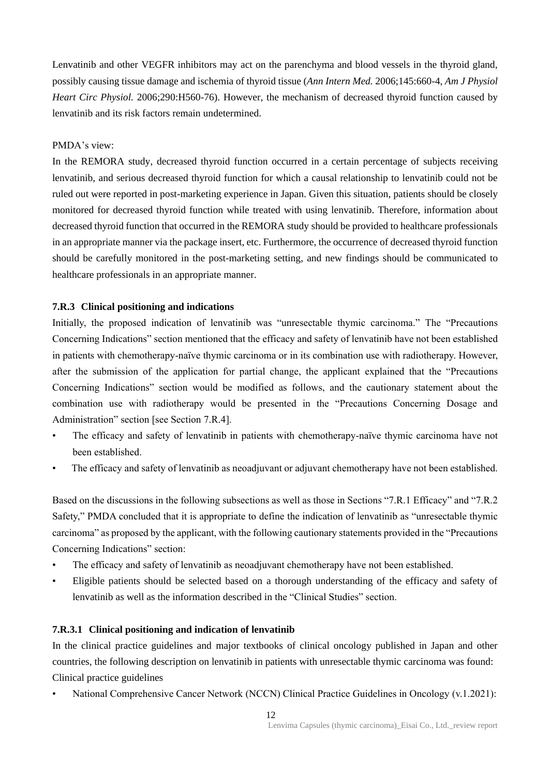Lenvatinib and other VEGFR inhibitors may act on the parenchyma and blood vessels in the thyroid gland, possibly causing tissue damage and ischemia of thyroid tissue (*Ann Intern Med.* 2006;145:660-4, *Am J Physiol Heart Circ Physiol.* 2006;290:H560-76). However, the mechanism of decreased thyroid function caused by lenvatinib and its risk factors remain undetermined.

#### PMDA's view:

In the REMORA study, decreased thyroid function occurred in a certain percentage of subjects receiving lenvatinib, and serious decreased thyroid function for which a causal relationship to lenvatinib could not be ruled out were reported in post-marketing experience in Japan. Given this situation, patients should be closely monitored for decreased thyroid function while treated with using lenvatinib. Therefore, information about decreased thyroid function that occurred in the REMORA study should be provided to healthcare professionals in an appropriate manner via the package insert, etc. Furthermore, the occurrence of decreased thyroid function should be carefully monitored in the post-marketing setting, and new findings should be communicated to healthcare professionals in an appropriate manner.

### **7.R.3 Clinical positioning and indications**

Initially, the proposed indication of lenvatinib was "unresectable thymic carcinoma." The "Precautions Concerning Indications" section mentioned that the efficacy and safety of lenvatinib have not been established in patients with chemotherapy-naïve thymic carcinoma or in its combination use with radiotherapy. However, after the submission of the application for partial change, the applicant explained that the "Precautions Concerning Indications" section would be modified as follows, and the cautionary statement about the combination use with radiotherapy would be presented in the "Precautions Concerning Dosage and Administration" section [see Section 7.R.4].

- The efficacy and safety of lenvatinib in patients with chemotherapy-naïve thymic carcinoma have not been established.
- The efficacy and safety of lenvatinib as neoadjuvant or adjuvant chemotherapy have not been established.

Based on the discussions in the following subsections as well as those in Sections "7.R.1 Efficacy" and "7.R.2 Safety," PMDA concluded that it is appropriate to define the indication of lenvatinib as "unresectable thymic carcinoma" as proposed by the applicant, with the following cautionary statements provided in the "Precautions Concerning Indications" section:

- The efficacy and safety of lenvatinib as neoadjuvant chemotherapy have not been established.
- Eligible patients should be selected based on a thorough understanding of the efficacy and safety of lenvatinib as well as the information described in the "Clinical Studies" section.

### **7.R.3.1 Clinical positioning and indication of lenvatinib**

In the clinical practice guidelines and major textbooks of clinical oncology published in Japan and other countries, the following description on lenvatinib in patients with unresectable thymic carcinoma was found: Clinical practice guidelines

• National Comprehensive Cancer Network (NCCN) Clinical Practice Guidelines in Oncology (v.1.2021):

12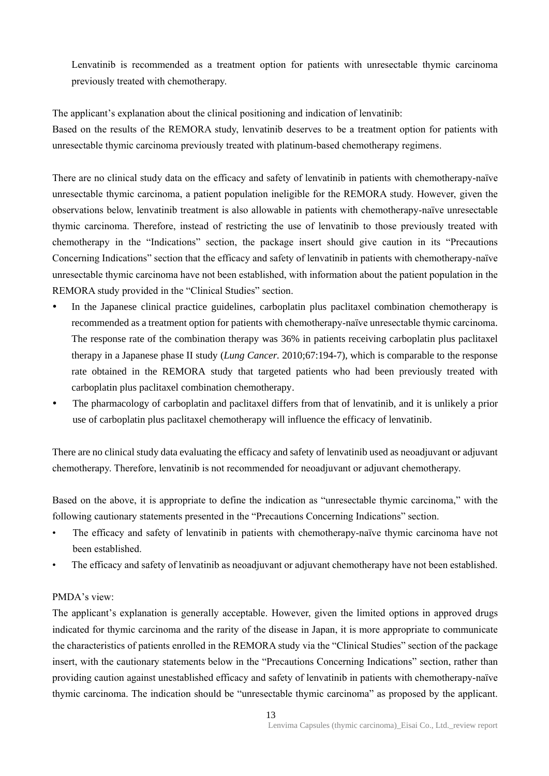Lenvatinib is recommended as a treatment option for patients with unresectable thymic carcinoma previously treated with chemotherapy.

The applicant's explanation about the clinical positioning and indication of lenvatinib: Based on the results of the REMORA study, lenvatinib deserves to be a treatment option for patients with unresectable thymic carcinoma previously treated with platinum-based chemotherapy regimens.

There are no clinical study data on the efficacy and safety of lenvatinib in patients with chemotherapy-naïve unresectable thymic carcinoma, a patient population ineligible for the REMORA study. However, given the observations below, lenvatinib treatment is also allowable in patients with chemotherapy-naïve unresectable thymic carcinoma. Therefore, instead of restricting the use of lenvatinib to those previously treated with chemotherapy in the "Indications" section, the package insert should give caution in its "Precautions Concerning Indications" section that the efficacy and safety of lenvatinib in patients with chemotherapy-naïve unresectable thymic carcinoma have not been established, with information about the patient population in the REMORA study provided in the "Clinical Studies" section.

- In the Japanese clinical practice guidelines, carboplatin plus paclitaxel combination chemotherapy is recommended as a treatment option for patients with chemotherapy-naïve unresectable thymic carcinoma. The response rate of the combination therapy was 36% in patients receiving carboplatin plus paclitaxel therapy in a Japanese phase II study (*Lung Cancer.* 2010;67:194-7), which is comparable to the response rate obtained in the REMORA study that targeted patients who had been previously treated with carboplatin plus paclitaxel combination chemotherapy.
- The pharmacology of carboplatin and paclitaxel differs from that of lenvatinib, and it is unlikely a prior use of carboplatin plus paclitaxel chemotherapy will influence the efficacy of lenvatinib.

There are no clinical study data evaluating the efficacy and safety of lenvatinib used as neoadjuvant or adjuvant chemotherapy. Therefore, lenvatinib is not recommended for neoadjuvant or adjuvant chemotherapy.

Based on the above, it is appropriate to define the indication as "unresectable thymic carcinoma," with the following cautionary statements presented in the "Precautions Concerning Indications" section.

- The efficacy and safety of lenvatinib in patients with chemotherapy-naïve thymic carcinoma have not been established.
- The efficacy and safety of lenvatinib as neoadjuvant or adjuvant chemotherapy have not been established.

### PMDA's view:

The applicant's explanation is generally acceptable. However, given the limited options in approved drugs indicated for thymic carcinoma and the rarity of the disease in Japan, it is more appropriate to communicate the characteristics of patients enrolled in the REMORA study via the "Clinical Studies" section of the package insert, with the cautionary statements below in the "Precautions Concerning Indications" section, rather than providing caution against unestablished efficacy and safety of lenvatinib in patients with chemotherapy-naïve thymic carcinoma. The indication should be "unresectable thymic carcinoma" as proposed by the applicant.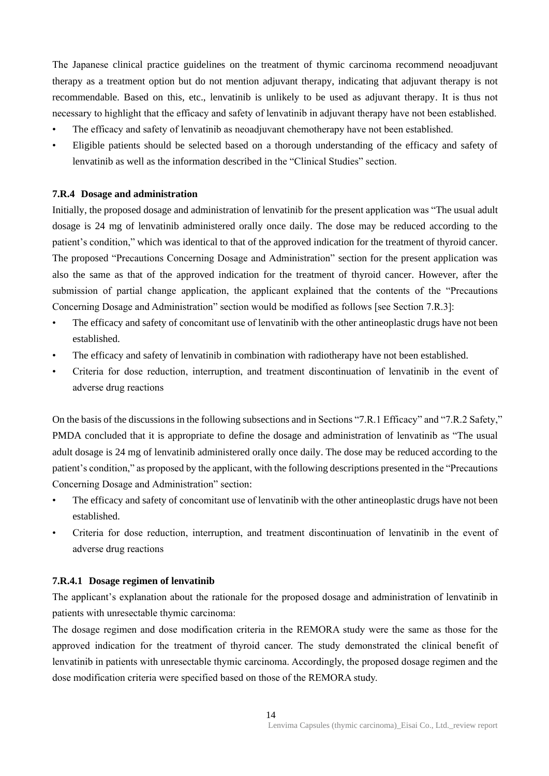The Japanese clinical practice guidelines on the treatment of thymic carcinoma recommend neoadjuvant therapy as a treatment option but do not mention adjuvant therapy, indicating that adjuvant therapy is not recommendable. Based on this, etc., lenvatinib is unlikely to be used as adjuvant therapy. It is thus not necessary to highlight that the efficacy and safety of lenvatinib in adjuvant therapy have not been established.

- The efficacy and safety of lenvatinib as neoadjuvant chemotherapy have not been established.
- Eligible patients should be selected based on a thorough understanding of the efficacy and safety of lenvatinib as well as the information described in the "Clinical Studies" section.

#### **7.R.4 Dosage and administration**

Initially, the proposed dosage and administration of lenvatinib for the present application was "The usual adult dosage is 24 mg of lenvatinib administered orally once daily. The dose may be reduced according to the patient's condition," which was identical to that of the approved indication for the treatment of thyroid cancer. The proposed "Precautions Concerning Dosage and Administration" section for the present application was also the same as that of the approved indication for the treatment of thyroid cancer. However, after the submission of partial change application, the applicant explained that the contents of the "Precautions Concerning Dosage and Administration" section would be modified as follows [see Section 7.R.3]:

- The efficacy and safety of concomitant use of lenvatinib with the other antineoplastic drugs have not been established.
- The efficacy and safety of lenvatinib in combination with radiotherapy have not been established.
- Criteria for dose reduction, interruption, and treatment discontinuation of lenvatinib in the event of adverse drug reactions

On the basis of the discussions in the following subsections and in Sections "7.R.1 Efficacy" and "7.R.2 Safety," PMDA concluded that it is appropriate to define the dosage and administration of lenvatinib as "The usual adult dosage is 24 mg of lenvatinib administered orally once daily. The dose may be reduced according to the patient's condition," as proposed by the applicant, with the following descriptions presented in the "Precautions Concerning Dosage and Administration" section:

- The efficacy and safety of concomitant use of lenvatinib with the other antineoplastic drugs have not been established.
- Criteria for dose reduction, interruption, and treatment discontinuation of lenvatinib in the event of adverse drug reactions

### **7.R.4.1 Dosage regimen of lenvatinib**

The applicant's explanation about the rationale for the proposed dosage and administration of lenvatinib in patients with unresectable thymic carcinoma:

The dosage regimen and dose modification criteria in the REMORA study were the same as those for the approved indication for the treatment of thyroid cancer. The study demonstrated the clinical benefit of lenvatinib in patients with unresectable thymic carcinoma. Accordingly, the proposed dosage regimen and the dose modification criteria were specified based on those of the REMORA study.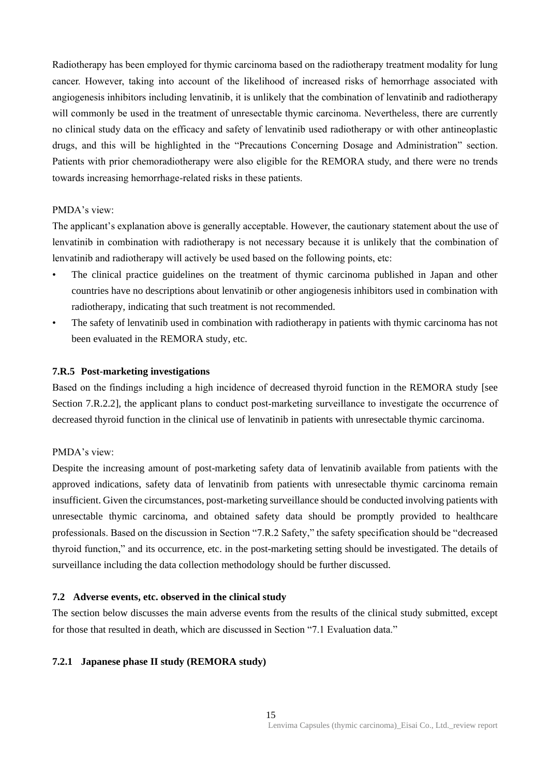Radiotherapy has been employed for thymic carcinoma based on the radiotherapy treatment modality for lung cancer. However, taking into account of the likelihood of increased risks of hemorrhage associated with angiogenesis inhibitors including lenvatinib, it is unlikely that the combination of lenvatinib and radiotherapy will commonly be used in the treatment of unresectable thymic carcinoma. Nevertheless, there are currently no clinical study data on the efficacy and safety of lenvatinib used radiotherapy or with other antineoplastic drugs, and this will be highlighted in the "Precautions Concerning Dosage and Administration" section. Patients with prior chemoradiotherapy were also eligible for the REMORA study, and there were no trends towards increasing hemorrhage-related risks in these patients.

### PMDA's view:

The applicant's explanation above is generally acceptable. However, the cautionary statement about the use of lenvatinib in combination with radiotherapy is not necessary because it is unlikely that the combination of lenvatinib and radiotherapy will actively be used based on the following points, etc:

- The clinical practice guidelines on the treatment of thymic carcinoma published in Japan and other countries have no descriptions about lenvatinib or other angiogenesis inhibitors used in combination with radiotherapy, indicating that such treatment is not recommended.
- The safety of lenvatinib used in combination with radiotherapy in patients with thymic carcinoma has not been evaluated in the REMORA study, etc.

#### **7.R.5 Post-marketing investigations**

Based on the findings including a high incidence of decreased thyroid function in the REMORA study [see Section 7.R.2.2], the applicant plans to conduct post-marketing surveillance to investigate the occurrence of decreased thyroid function in the clinical use of lenvatinib in patients with unresectable thymic carcinoma.

### PMDA's view:

Despite the increasing amount of post-marketing safety data of lenvatinib available from patients with the approved indications, safety data of lenvatinib from patients with unresectable thymic carcinoma remain insufficient. Given the circumstances, post-marketing surveillance should be conducted involving patients with unresectable thymic carcinoma, and obtained safety data should be promptly provided to healthcare professionals. Based on the discussion in Section "7.R.2 Safety," the safety specification should be "decreased thyroid function," and its occurrence, etc. in the post-marketing setting should be investigated. The details of surveillance including the data collection methodology should be further discussed.

#### **7.2 Adverse events, etc. observed in the clinical study**

The section below discusses the main adverse events from the results of the clinical study submitted, except for those that resulted in death, which are discussed in Section "7.1 Evaluation data."

### **7.2.1 Japanese phase II study (REMORA study)**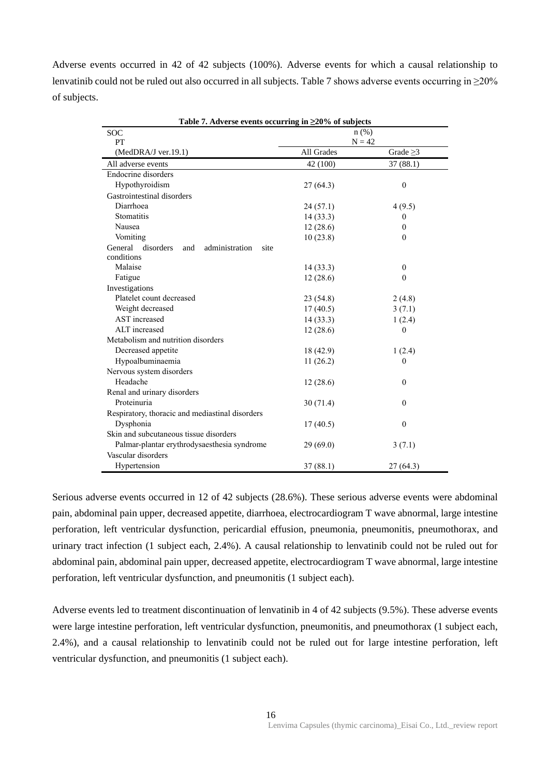Adverse events occurred in 42 of 42 subjects (100%). Adverse events for which a causal relationship to lenvatinib could not be ruled out also occurred in all subjects. Table 7 shows adverse events occurring in ≥20% of subjects.

| Table 7. Adverse events occurring in $\geq 20\%$ of subjects |                     |                |  |  |  |
|--------------------------------------------------------------|---------------------|----------------|--|--|--|
| <b>SOC</b>                                                   | $n$ (%)<br>$N = 42$ |                |  |  |  |
| PT<br>$(MedDRA/J$ ver.19.1)                                  | All Grades          | Grade $\geq$ 3 |  |  |  |
| All adverse events                                           |                     | 37(88.1)       |  |  |  |
| Endocrine disorders                                          | 42 (100)            |                |  |  |  |
|                                                              |                     |                |  |  |  |
| Hypothyroidism                                               | 27(64.3)            | $\mathbf{0}$   |  |  |  |
| Gastrointestinal disorders<br>Diarrhoea                      |                     |                |  |  |  |
|                                                              | 24(57.1)            | 4(9.5)         |  |  |  |
| Stomatitis                                                   | 14(33.3)            | 0              |  |  |  |
| Nausea                                                       | 12(28.6)            | 0              |  |  |  |
| Vomiting                                                     | 10(23.8)            | $\Omega$       |  |  |  |
| General<br>disorders<br>and<br>administration<br>site        |                     |                |  |  |  |
| conditions<br>Malaise                                        |                     |                |  |  |  |
|                                                              | 14(33.3)            | $\theta$       |  |  |  |
| Fatigue                                                      | 12(28.6)            | $\theta$       |  |  |  |
| Investigations                                               |                     |                |  |  |  |
| Platelet count decreased                                     | 23 (54.8)           | 2(4.8)         |  |  |  |
| Weight decreased                                             | 17(40.5)            | 3(7.1)         |  |  |  |
| AST increased                                                | 14(33.3)            | 1(2.4)         |  |  |  |
| ALT increased                                                | 12(28.6)            | $\theta$       |  |  |  |
| Metabolism and nutrition disorders                           |                     |                |  |  |  |
| Decreased appetite                                           | 18 (42.9)           | 1(2.4)         |  |  |  |
| Hypoalbuminaemia                                             | 11(26.2)            | 0              |  |  |  |
| Nervous system disorders                                     |                     |                |  |  |  |
| Headache                                                     | 12(28.6)            | $\theta$       |  |  |  |
| Renal and urinary disorders                                  |                     |                |  |  |  |
| Proteinuria                                                  | 30(71.4)            | $\theta$       |  |  |  |
| Respiratory, thoracic and mediastinal disorders              |                     |                |  |  |  |
| Dysphonia                                                    | 17(40.5)            | $\mathbf{0}$   |  |  |  |
| Skin and subcutaneous tissue disorders                       |                     |                |  |  |  |
| Palmar-plantar erythrodysaesthesia syndrome                  | 29(69.0)            | 3(7.1)         |  |  |  |
| Vascular disorders                                           |                     |                |  |  |  |
| Hypertension                                                 | 37 (88.1)           | 27 (64.3)      |  |  |  |

Serious adverse events occurred in 12 of 42 subjects (28.6%). These serious adverse events were abdominal pain, abdominal pain upper, decreased appetite, diarrhoea, electrocardiogram T wave abnormal, large intestine perforation, left ventricular dysfunction, pericardial effusion, pneumonia, pneumonitis, pneumothorax, and urinary tract infection (1 subject each, 2.4%). A causal relationship to lenvatinib could not be ruled out for abdominal pain, abdominal pain upper, decreased appetite, electrocardiogram T wave abnormal, large intestine perforation, left ventricular dysfunction, and pneumonitis (1 subject each).

Adverse events led to treatment discontinuation of lenvatinib in 4 of 42 subjects (9.5%). These adverse events were large intestine perforation, left ventricular dysfunction, pneumonitis, and pneumothorax (1 subject each, 2.4%), and a causal relationship to lenvatinib could not be ruled out for large intestine perforation, left ventricular dysfunction, and pneumonitis (1 subject each).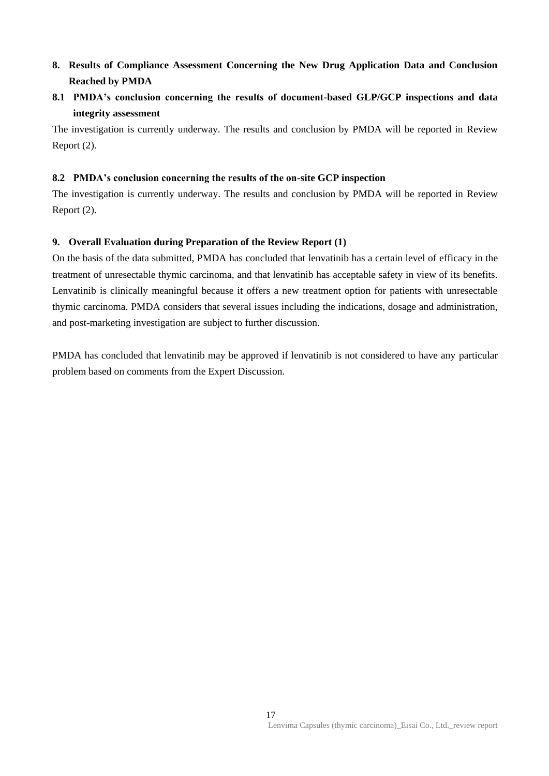# **8. Results of Compliance Assessment Concerning the New Drug Application Data and Conclusion Reached by PMDA**

# **8.1 PMDA's conclusion concerning the results of document-based GLP/GCP inspections and data integrity assessment**

The investigation is currently underway. The results and conclusion by PMDA will be reported in Review Report (2).

### **8.2 PMDA's conclusion concerning the results of the on-site GCP inspection**

The investigation is currently underway. The results and conclusion by PMDA will be reported in Review Report (2).

### **9. Overall Evaluation during Preparation of the Review Report (1)**

On the basis of the data submitted, PMDA has concluded that lenvatinib has a certain level of efficacy in the treatment of unresectable thymic carcinoma, and that lenvatinib has acceptable safety in view of its benefits. Lenvatinib is clinically meaningful because it offers a new treatment option for patients with unresectable thymic carcinoma. PMDA considers that several issues including the indications, dosage and administration, and post-marketing investigation are subject to further discussion.

PMDA has concluded that lenvatinib may be approved if lenvatinib is not considered to have any particular problem based on comments from the Expert Discussion.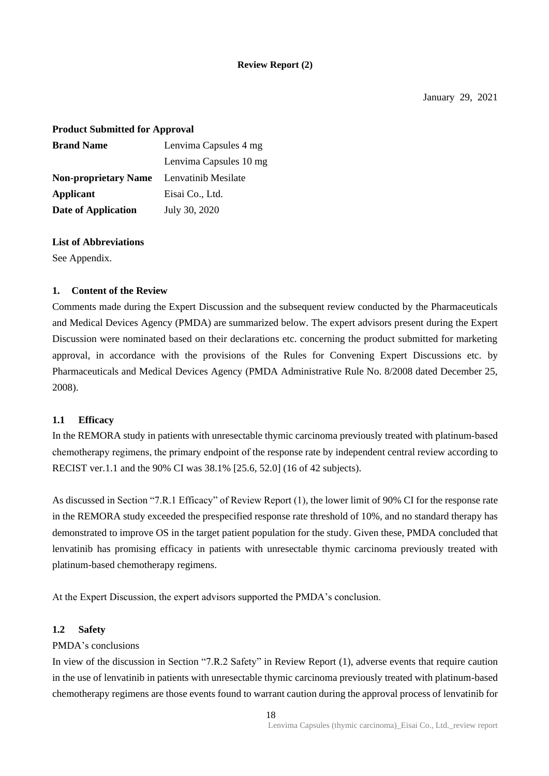### **Review Report (2)**

### **Product Submitted for Approval**

| <b>Brand Name</b>           | Lenvima Capsules 4 mg  |
|-----------------------------|------------------------|
|                             | Lenvima Capsules 10 mg |
| <b>Non-proprietary Name</b> | Lenvatinib Mesilate    |
| <b>Applicant</b>            | Eisai Co., Ltd.        |
| <b>Date of Application</b>  | July 30, 2020          |

### **List of Abbreviations**

See Appendix.

### **1. Content of the Review**

Comments made during the Expert Discussion and the subsequent review conducted by the Pharmaceuticals and Medical Devices Agency (PMDA) are summarized below. The expert advisors present during the Expert Discussion were nominated based on their declarations etc. concerning the product submitted for marketing approval, in accordance with the provisions of the Rules for Convening Expert Discussions etc. by Pharmaceuticals and Medical Devices Agency (PMDA Administrative Rule No. 8/2008 dated December 25, 2008).

### **1.1 Efficacy**

In the REMORA study in patients with unresectable thymic carcinoma previously treated with platinum-based chemotherapy regimens, the primary endpoint of the response rate by independent central review according to RECIST ver.1.1 and the 90% CI was 38.1% [25.6, 52.0] (16 of 42 subjects).

As discussed in Section "7.R.1 Efficacy" of Review Report (1), the lower limit of 90% CI for the response rate in the REMORA study exceeded the prespecified response rate threshold of 10%, and no standard therapy has demonstrated to improve OS in the target patient population for the study. Given these, PMDA concluded that lenvatinib has promising efficacy in patients with unresectable thymic carcinoma previously treated with platinum-based chemotherapy regimens.

At the Expert Discussion, the expert advisors supported the PMDA's conclusion.

### **1.2 Safety**

### PMDA's conclusions

In view of the discussion in Section "7.R.2 Safety" in Review Report (1), adverse events that require caution in the use of lenvatinib in patients with unresectable thymic carcinoma previously treated with platinum-based chemotherapy regimens are those events found to warrant caution during the approval process of lenvatinib for

18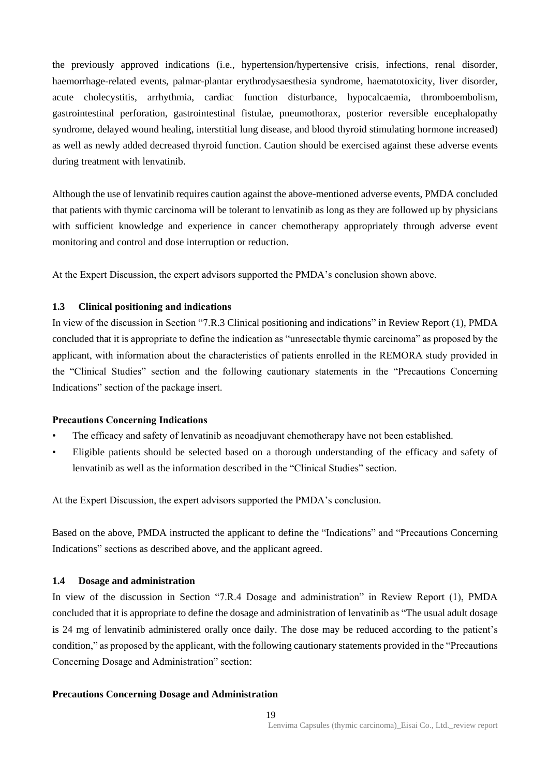the previously approved indications (i.e., hypertension/hypertensive crisis, infections, renal disorder, haemorrhage-related events, palmar-plantar erythrodysaesthesia syndrome, haematotoxicity, liver disorder, acute cholecystitis, arrhythmia, cardiac function disturbance, hypocalcaemia, thromboembolism, gastrointestinal perforation, gastrointestinal fistulae, pneumothorax, posterior reversible encephalopathy syndrome, delayed wound healing, interstitial lung disease, and blood thyroid stimulating hormone increased) as well as newly added decreased thyroid function. Caution should be exercised against these adverse events during treatment with lenvatinib.

Although the use of lenvatinib requires caution against the above-mentioned adverse events, PMDA concluded that patients with thymic carcinoma will be tolerant to lenvatinib as long as they are followed up by physicians with sufficient knowledge and experience in cancer chemotherapy appropriately through adverse event monitoring and control and dose interruption or reduction.

At the Expert Discussion, the expert advisors supported the PMDA's conclusion shown above.

### **1.3 Clinical positioning and indications**

In view of the discussion in Section "7.R.3 Clinical positioning and indications" in Review Report (1), PMDA concluded that it is appropriate to define the indication as "unresectable thymic carcinoma" as proposed by the applicant, with information about the characteristics of patients enrolled in the REMORA study provided in the "Clinical Studies" section and the following cautionary statements in the "Precautions Concerning Indications" section of the package insert.

### **Precautions Concerning Indications**

- The efficacy and safety of lenvatinib as neoadjuvant chemotherapy have not been established.
- Eligible patients should be selected based on a thorough understanding of the efficacy and safety of lenvatinib as well as the information described in the "Clinical Studies" section.

At the Expert Discussion, the expert advisors supported the PMDA's conclusion.

Based on the above, PMDA instructed the applicant to define the "Indications" and "Precautions Concerning Indications" sections as described above, and the applicant agreed.

### **1.4 Dosage and administration**

In view of the discussion in Section "7.R.4 Dosage and administration" in Review Report (1), PMDA concluded that it is appropriate to define the dosage and administration of lenvatinib as "The usual adult dosage is 24 mg of lenvatinib administered orally once daily. The dose may be reduced according to the patient's condition," as proposed by the applicant, with the following cautionary statements provided in the "Precautions Concerning Dosage and Administration" section:

### **Precautions Concerning Dosage and Administration**

19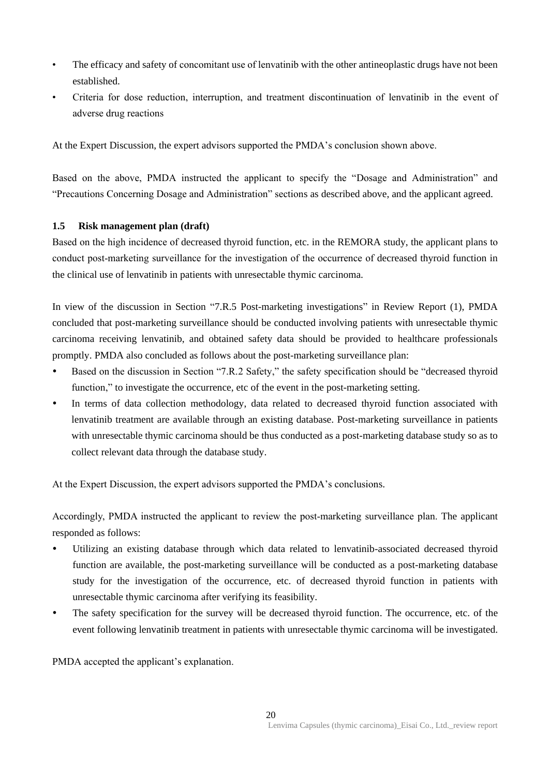- The efficacy and safety of concomitant use of lenvatinib with the other antineoplastic drugs have not been established.
- Criteria for dose reduction, interruption, and treatment discontinuation of lenvatinib in the event of adverse drug reactions

At the Expert Discussion, the expert advisors supported the PMDA's conclusion shown above.

Based on the above, PMDA instructed the applicant to specify the "Dosage and Administration" and "Precautions Concerning Dosage and Administration" sections as described above, and the applicant agreed.

### **1.5 Risk management plan (draft)**

Based on the high incidence of decreased thyroid function, etc. in the REMORA study, the applicant plans to conduct post-marketing surveillance for the investigation of the occurrence of decreased thyroid function in the clinical use of lenvatinib in patients with unresectable thymic carcinoma.

In view of the discussion in Section "7.R.5 Post-marketing investigations" in Review Report (1), PMDA concluded that post-marketing surveillance should be conducted involving patients with unresectable thymic carcinoma receiving lenvatinib, and obtained safety data should be provided to healthcare professionals promptly. PMDA also concluded as follows about the post-marketing surveillance plan:

- Based on the discussion in Section "7.R.2 Safety," the safety specification should be "decreased thyroid function," to investigate the occurrence, etc of the event in the post-marketing setting.
- In terms of data collection methodology, data related to decreased thyroid function associated with lenvatinib treatment are available through an existing database. Post-marketing surveillance in patients with unresectable thymic carcinoma should be thus conducted as a post-marketing database study so as to collect relevant data through the database study.

At the Expert Discussion, the expert advisors supported the PMDA's conclusions.

Accordingly, PMDA instructed the applicant to review the post-marketing surveillance plan. The applicant responded as follows:

- Utilizing an existing database through which data related to lenvatinib-associated decreased thyroid function are available, the post-marketing surveillance will be conducted as a post-marketing database study for the investigation of the occurrence, etc. of decreased thyroid function in patients with unresectable thymic carcinoma after verifying its feasibility.
- The safety specification for the survey will be decreased thyroid function. The occurrence, etc. of the event following lenvatinib treatment in patients with unresectable thymic carcinoma will be investigated.

PMDA accepted the applicant's explanation.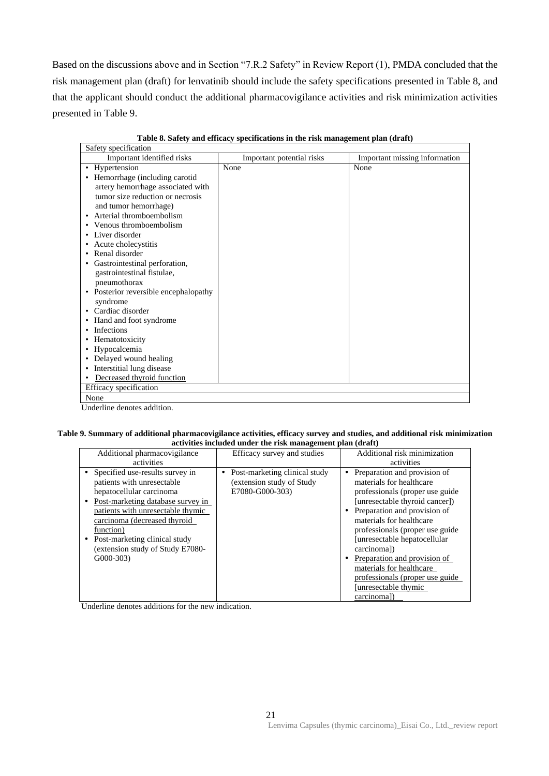Based on the discussions above and in Section "7.R.2 Safety" in Review Report (1), PMDA concluded that the risk management plan (draft) for lenvatinib should include the safety specifications presented in Table 8, and that the applicant should conduct the additional pharmacovigilance activities and risk minimization activities presented in Table 9.

| Safety specification                  |                           |                               |
|---------------------------------------|---------------------------|-------------------------------|
| Important identified risks            | Important potential risks | Important missing information |
| • Hypertension                        | None                      | None                          |
| • Hemorrhage (including carotid       |                           |                               |
| artery hemorrhage associated with     |                           |                               |
| tumor size reduction or necrosis      |                           |                               |
| and tumor hemorrhage)                 |                           |                               |
| • Arterial thromboembolism            |                           |                               |
| • Venous thromboembolism              |                           |                               |
| • Liver disorder                      |                           |                               |
| • Acute cholecystitis                 |                           |                               |
| • Renal disorder                      |                           |                               |
| • Gastrointestinal perforation,       |                           |                               |
| gastrointestinal fistulae,            |                           |                               |
| pneumothorax                          |                           |                               |
| • Posterior reversible encephalopathy |                           |                               |
| syndrome                              |                           |                               |
| • Cardiac disorder                    |                           |                               |
| • Hand and foot syndrome              |                           |                               |
| • Infections                          |                           |                               |
| • Hematotoxicity                      |                           |                               |
| • Hypocalcemia                        |                           |                               |
| • Delayed wound healing               |                           |                               |
| Interstitial lung disease<br>٠        |                           |                               |
| Decreased thyroid function<br>٠       |                           |                               |
| Efficacy specification                |                           |                               |
| None                                  |                           |                               |
| Underline denotes addition.           |                           |                               |

**Table 8. Safety and efficacy specifications in the risk management plan (draft)**

**Table 9. Summary of additional pharmacovigilance activities, efficacy survey and studies, and additional risk minimization activities included under the risk management plan (draft)**

|                                   | acu chuos menauca anuer une rish management pian (urare) |                                 |
|-----------------------------------|----------------------------------------------------------|---------------------------------|
| Additional pharmacovigilance      | Efficacy survey and studies                              | Additional risk minimization    |
| activities                        |                                                          | activities                      |
| Specified use-results survey in   | Post-marketing clinical study<br>٠                       | Preparation and provision of    |
| patients with unresectable        | (extension study of Study)                               | materials for healthcare        |
| hepatocellular carcinoma          | E7080-G000-303)                                          | professionals (proper use guide |
| Post-marketing database survey in |                                                          | [unresectable thyroid cancer])  |
| patients with unresectable thymic |                                                          | Preparation and provision of    |
| carcinoma (decreased thyroid      |                                                          | materials for healthcare        |
| function)                         |                                                          | professionals (proper use guide |
| Post-marketing clinical study     |                                                          | [unresectable hepatocellular    |
| (extension study of Study E7080-  |                                                          | carcinomal)                     |
| $G000-303$                        |                                                          | Preparation and provision of    |
|                                   |                                                          | materials for healthcare        |
|                                   |                                                          | professionals (proper use guide |
|                                   |                                                          | [unresectable thymic]           |
|                                   |                                                          | carcinomal)                     |

Underline denotes additions for the new indication.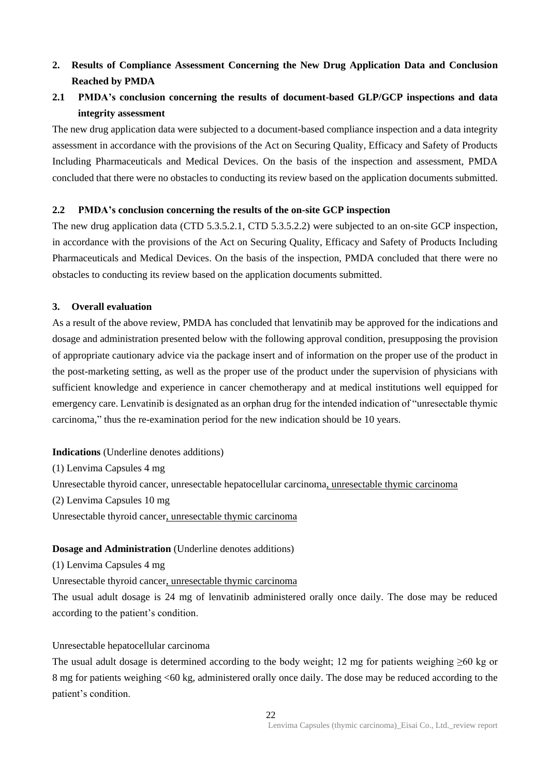# **2. Results of Compliance Assessment Concerning the New Drug Application Data and Conclusion Reached by PMDA**

# **2.1 PMDA's conclusion concerning the results of document-based GLP/GCP inspections and data integrity assessment**

The new drug application data were subjected to a document-based compliance inspection and a data integrity assessment in accordance with the provisions of the Act on Securing Quality, Efficacy and Safety of Products Including Pharmaceuticals and Medical Devices. On the basis of the inspection and assessment, PMDA concluded that there were no obstacles to conducting its review based on the application documents submitted.

### **2.2 PMDA's conclusion concerning the results of the on-site GCP inspection**

The new drug application data (CTD 5.3.5.2.1, CTD 5.3.5.2.2) were subjected to an on-site GCP inspection, in accordance with the provisions of the Act on Securing Quality, Efficacy and Safety of Products Including Pharmaceuticals and Medical Devices. On the basis of the inspection, PMDA concluded that there were no obstacles to conducting its review based on the application documents submitted.

### **3. Overall evaluation**

As a result of the above review, PMDA has concluded that lenvatinib may be approved for the indications and dosage and administration presented below with the following approval condition, presupposing the provision of appropriate cautionary advice via the package insert and of information on the proper use of the product in the post-marketing setting, as well as the proper use of the product under the supervision of physicians with sufficient knowledge and experience in cancer chemotherapy and at medical institutions well equipped for emergency care. Lenvatinib is designated as an orphan drug for the intended indication of "unresectable thymic carcinoma," thus the re-examination period for the new indication should be 10 years.

**Indications** (Underline denotes additions) (1) Lenvima Capsules 4 mg Unresectable thyroid cancer, unresectable hepatocellular carcinoma, unresectable thymic carcinoma (2) Lenvima Capsules 10 mg Unresectable thyroid cancer, unresectable thymic carcinoma

### **Dosage and Administration** (Underline denotes additions)

(1) Lenvima Capsules 4 mg

Unresectable thyroid cancer, unresectable thymic carcinoma

The usual adult dosage is 24 mg of lenvatinib administered orally once daily. The dose may be reduced according to the patient's condition.

Unresectable hepatocellular carcinoma

The usual adult dosage is determined according to the body weight; 12 mg for patients weighing  $>60$  kg or 8 mg for patients weighing <60 kg, administered orally once daily. The dose may be reduced according to the patient's condition.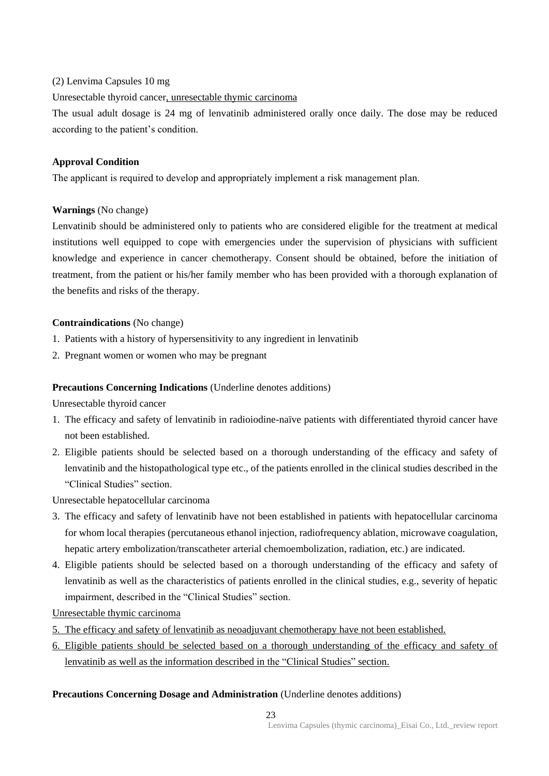### (2) Lenvima Capsules 10 mg

Unresectable thyroid cancer, unresectable thymic carcinoma

The usual adult dosage is 24 mg of lenvatinib administered orally once daily. The dose may be reduced according to the patient's condition.

### **Approval Condition**

The applicant is required to develop and appropriately implement a risk management plan.

### **Warnings** (No change)

Lenvatinib should be administered only to patients who are considered eligible for the treatment at medical institutions well equipped to cope with emergencies under the supervision of physicians with sufficient knowledge and experience in cancer chemotherapy. Consent should be obtained, before the initiation of treatment, from the patient or his/her family member who has been provided with a thorough explanation of the benefits and risks of the therapy.

### **Contraindications** (No change)

- 1. Patients with a history of hypersensitivity to any ingredient in lenvatinib
- 2. Pregnant women or women who may be pregnant

### **Precautions Concerning Indications** (Underline denotes additions)

Unresectable thyroid cancer

- 1. The efficacy and safety of lenvatinib in radioiodine-naïve patients with differentiated thyroid cancer have not been established.
- 2. Eligible patients should be selected based on a thorough understanding of the efficacy and safety of lenvatinib and the histopathological type etc., of the patients enrolled in the clinical studies described in the "Clinical Studies" section.

Unresectable hepatocellular carcinoma

- 3. The efficacy and safety of lenvatinib have not been established in patients with hepatocellular carcinoma for whom local therapies (percutaneous ethanol injection, radiofrequency ablation, microwave coagulation, hepatic artery embolization/transcatheter arterial chemoembolization, radiation, etc.) are indicated.
- 4. Eligible patients should be selected based on a thorough understanding of the efficacy and safety of lenvatinib as well as the characteristics of patients enrolled in the clinical studies, e.g., severity of hepatic impairment, described in the "Clinical Studies" section.

Unresectable thymic carcinoma

- 5. The efficacy and safety of lenvatinib as neoadjuvant chemotherapy have not been established.
- 6. Eligible patients should be selected based on a thorough understanding of the efficacy and safety of lenvatinib as well as the information described in the "Clinical Studies" section.

### **Precautions Concerning Dosage and Administration** (Underline denotes additions)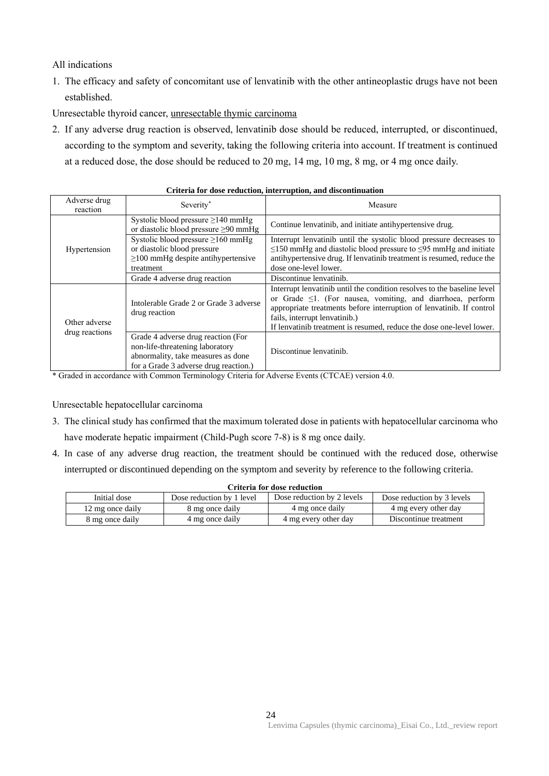### All indications

1. The efficacy and safety of concomitant use of lenvatinib with the other antineoplastic drugs have not been established.

Unresectable thyroid cancer, unresectable thymic carcinoma

2. If any adverse drug reaction is observed, lenvatinib dose should be reduced, interrupted, or discontinued, according to the symptom and severity, taking the following criteria into account. If treatment is continued at a reduced dose, the dose should be reduced to 20 mg, 14 mg, 10 mg, 8 mg, or 4 mg once daily.

| Adverse drug<br>reaction        | Severity*                                                                                                                                            | Measure                                                                                                                                                                                                                                                                                                                      |
|---------------------------------|------------------------------------------------------------------------------------------------------------------------------------------------------|------------------------------------------------------------------------------------------------------------------------------------------------------------------------------------------------------------------------------------------------------------------------------------------------------------------------------|
| Hypertension                    | Systolic blood pressure $\geq$ 140 mmHg<br>or diastolic blood pressure $\geq 90$ mmHg                                                                | Continue lenvatinib, and initiate antihypertensive drug.                                                                                                                                                                                                                                                                     |
|                                 | Systolic blood pressure $\geq 160$ mmHg<br>or diastolic blood pressure<br>$\geq$ 100 mmHg despite antihypertensive<br>treatment                      | Interrupt lenvatinib until the systolic blood pressure decreases to<br>$\leq$ 150 mmHg and diastolic blood pressure to $\leq$ 95 mmHg and initiate<br>antihypertensive drug. If lenvatinib treatment is resumed, reduce the<br>dose one-level lower.                                                                         |
|                                 | Grade 4 adverse drug reaction                                                                                                                        | Discontinue lenvatinib.                                                                                                                                                                                                                                                                                                      |
| Other adverse<br>drug reactions | Intolerable Grade 2 or Grade 3 adverse<br>drug reaction                                                                                              | Interrupt lenvatinib until the condition resolves to the baseline level<br>or Grade $\leq$ 1. (For nausea, vomiting, and diarrhoea, perform<br>appropriate treatments before interruption of lenvatinib. If control<br>fails, interrupt lenvatinib.)<br>If lenvatinib treatment is resumed, reduce the dose one-level lower. |
|                                 | Grade 4 adverse drug reaction (For<br>non-life-threatening laboratory<br>abnormality, take measures as done<br>for a Grade 3 adverse drug reaction.) | Discontinue lenvatinib.                                                                                                                                                                                                                                                                                                      |

#### **Criteria for dose reduction, interruption, and discontinuation**

\* Graded in accordance with Common Terminology Criteria for Adverse Events (CTCAE) version 4.0.

Unresectable hepatocellular carcinoma

- 3. The clinical study has confirmed that the maximum tolerated dose in patients with hepatocellular carcinoma who have moderate hepatic impairment (Child-Pugh score 7-8) is 8 mg once daily.
- 4. In case of any adverse drug reaction, the treatment should be continued with the reduced dose, otherwise interrupted or discontinued depending on the symptom and severity by reference to the following criteria.

| Initial dose     | Dose reduction by 1 level | Dose reduction by 2 levels | Dose reduction by 3 levels |
|------------------|---------------------------|----------------------------|----------------------------|
| 12 mg once daily | 8 mg once daily           | 4 mg once daily            | 4 mg every other day       |
| 8 mg once daily  | 4 mg once daily           | 4 mg every other day       | Discontinue treatment      |

#### **Criteria for dose reduction**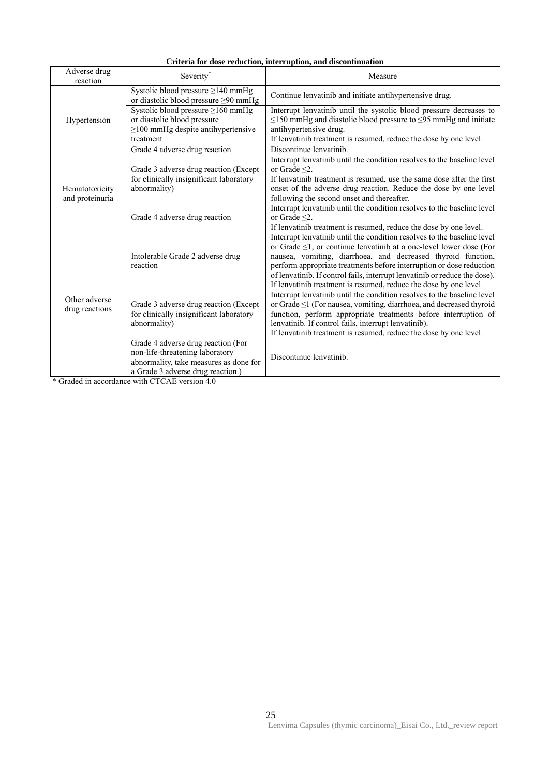| Criteria for dose reduction, interruption, and discontinuation |
|----------------------------------------------------------------|
|                                                                |

| Adverse drug<br>reaction                                                                                                                                                | Severity*                                                                                                                                                                                                                                                                                | Measure                                                                                                                                                                                                                                                                                                                                                                                                                                        |
|-------------------------------------------------------------------------------------------------------------------------------------------------------------------------|------------------------------------------------------------------------------------------------------------------------------------------------------------------------------------------------------------------------------------------------------------------------------------------|------------------------------------------------------------------------------------------------------------------------------------------------------------------------------------------------------------------------------------------------------------------------------------------------------------------------------------------------------------------------------------------------------------------------------------------------|
| Hypertension                                                                                                                                                            | Systolic blood pressure $\geq$ 140 mmHg<br>or diastolic blood pressure $\geq 90$ mmHg                                                                                                                                                                                                    | Continue lenvatinib and initiate antihypertensive drug.                                                                                                                                                                                                                                                                                                                                                                                        |
|                                                                                                                                                                         | Systolic blood pressure $\geq$ 160 mmHg<br>or diastolic blood pressure<br>$\geq$ 100 mmHg despite antihypertensive<br>treatment                                                                                                                                                          | Interrupt lenvatinib until the systolic blood pressure decreases to<br>$\leq$ 150 mmHg and diastolic blood pressure to $\leq$ 95 mmHg and initiate<br>antihypertensive drug.<br>If lenvatinib treatment is resumed, reduce the dose by one level.                                                                                                                                                                                              |
|                                                                                                                                                                         | Grade 4 adverse drug reaction                                                                                                                                                                                                                                                            | Discontinue lenvatinib.                                                                                                                                                                                                                                                                                                                                                                                                                        |
| Grade 3 adverse drug reaction (Except)<br>for clinically insignificant laboratory<br>abnormality)<br>Hematotoxicity<br>and proteinuria<br>Grade 4 adverse drug reaction | Interrupt lenvatinib until the condition resolves to the baseline level<br>or Grade $\leq$ 2.<br>If lenvatinib treatment is resumed, use the same dose after the first<br>onset of the adverse drug reaction. Reduce the dose by one level<br>following the second onset and thereafter. |                                                                                                                                                                                                                                                                                                                                                                                                                                                |
|                                                                                                                                                                         |                                                                                                                                                                                                                                                                                          | Interrupt lenvatinib until the condition resolves to the baseline level<br>or Grade $\leq$ 2.<br>If lenvatinib treatment is resumed, reduce the dose by one level.                                                                                                                                                                                                                                                                             |
| Other adverse<br>drug reactions                                                                                                                                         | Intolerable Grade 2 adverse drug<br>reaction                                                                                                                                                                                                                                             | Interrupt lenvatinib until the condition resolves to the baseline level<br>or Grade $\leq$ 1, or continue lenvatinib at a one-level lower dose (For<br>nausea, vomiting, diarrhoea, and decreased thyroid function,<br>perform appropriate treatments before interruption or dose reduction<br>of lenvatinib. If control fails, interrupt lenvatinib or reduce the dose).<br>If lenvatinib treatment is resumed, reduce the dose by one level. |
|                                                                                                                                                                         | Grade 3 adverse drug reaction (Except<br>for clinically insignificant laboratory<br>abnormality)                                                                                                                                                                                         | Interrupt lenvatinib until the condition resolves to the baseline level<br>or Grade $\leq$ 1 (For nausea, vomiting, diarrhoea, and decreased thyroid<br>function, perform appropriate treatments before interruption of<br>lenvatinib. If control fails, interrupt lenvatinib).<br>If lenvatinib treatment is resumed, reduce the dose by one level.                                                                                           |
|                                                                                                                                                                         | Grade 4 adverse drug reaction (For<br>non-life-threatening laboratory<br>abnormality, take measures as done for<br>a Grade 3 adverse drug reaction.)                                                                                                                                     | Discontinue lenvatinib.                                                                                                                                                                                                                                                                                                                                                                                                                        |

\* Graded in accordance with CTCAE version 4.0